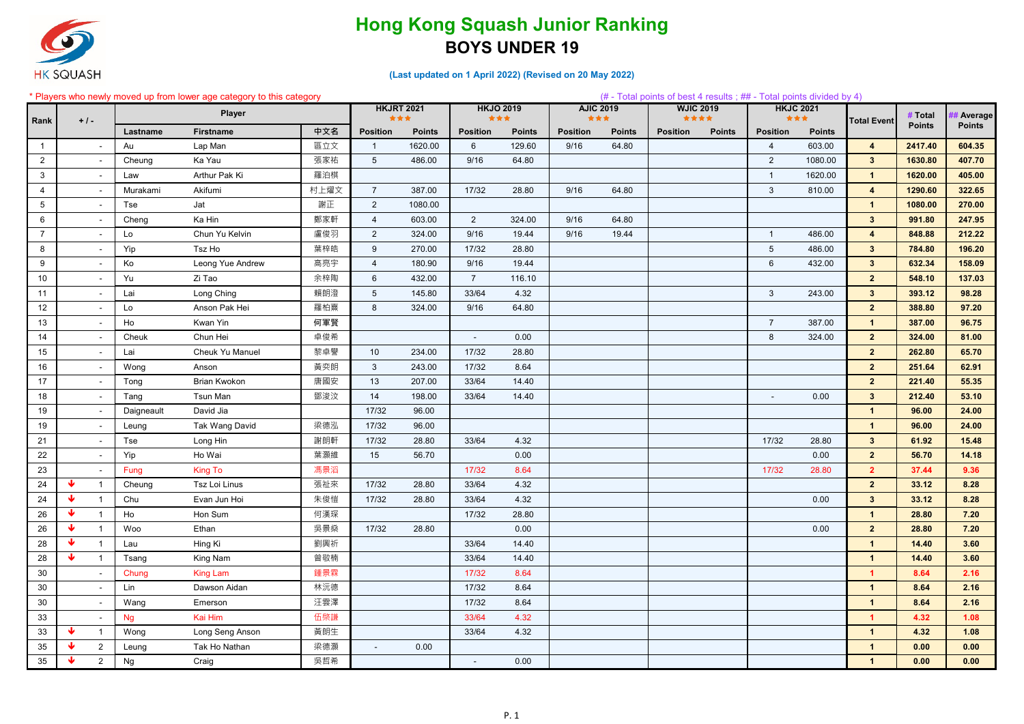

### **(Last updated on 1 April 2022) (Revised on 20 May 2022)**

#### \* Players who newly moved up from lower age category to this category (# - Total points of best 4 results ; ## - Total points divided by 4)

| Rank            | $+1-$           |                |            | Player              |      | <b>HKJRT 2021</b> | ***           | ***             | <b>HKJO 2019</b> | <b>AJIC 2019</b><br>*** |               | <b>WJIC 2019</b><br>女女女女 |               | <b>HKJC 2021</b><br>*** |               | <b>Total Event</b>      | # Total       | <b>Average</b> |
|-----------------|-----------------|----------------|------------|---------------------|------|-------------------|---------------|-----------------|------------------|-------------------------|---------------|--------------------------|---------------|-------------------------|---------------|-------------------------|---------------|----------------|
|                 |                 |                | Lastname   | <b>Firstname</b>    | 中文名  | <b>Position</b>   | <b>Points</b> | <b>Position</b> | <b>Points</b>    | <b>Position</b>         | <b>Points</b> | <b>Position</b>          | <b>Points</b> | <b>Position</b>         | <b>Points</b> |                         | <b>Points</b> | <b>Points</b>  |
| $\overline{1}$  |                 |                | Au         | Lap Man             | 區立文  | -1                | 1620.00       | 6               | 129.60           | 9/16                    | 64.80         |                          |               | $\overline{4}$          | 603.00        | $\overline{4}$          | 2417.40       | 604.35         |
| $\overline{2}$  |                 |                | Cheung     | Ka Yau              | 張家祐  | $5\phantom{.0}$   | 486.00        | 9/16            | 64.80            |                         |               |                          |               | $\overline{2}$          | 1080.00       | $\mathbf{3}$            | 1630.80       | 407.70         |
| $\mathbf{3}$    |                 |                | Law        | Arthur Pak Ki       | 羅泊棋  |                   |               |                 |                  |                         |               |                          |               | $\overline{1}$          | 1620.00       | $\overline{1}$          | 1620.00       | 405.00         |
| 4               |                 |                | Murakami   | Akifumi             | 村上燿文 | $\overline{7}$    | 387.00        | 17/32           | 28.80            | 9/16                    | 64.80         |                          |               | 3                       | 810.00        | $\overline{4}$          | 1290.60       | 322.65         |
| $5\phantom{.0}$ |                 |                | Tse        | Jat                 | 謝正   | $\overline{2}$    | 1080.00       |                 |                  |                         |               |                          |               |                         |               | $\overline{\mathbf{1}}$ | 1080.00       | 270.00         |
| 6               |                 |                | Cheng      | Ka Hin              | 鄭家軒  | $\overline{4}$    | 603.00        | $\overline{2}$  | 324.00           | 9/16                    | 64.80         |                          |               |                         |               | 3 <sup>1</sup>          | 991.80        | 247.95         |
| $\overline{7}$  |                 |                | Lo         | Chun Yu Kelvin      | 盧俊羽  | $\overline{2}$    | 324.00        | 9/16            | 19.44            | 9/16                    | 19.44         |                          |               | $\overline{1}$          | 486.00        | $\overline{4}$          | 848.88        | 212.22         |
| 8               |                 |                | Yip        | Tsz Ho              | 葉梓皓  | 9                 | 270.00        | 17/32           | 28.80            |                         |               |                          |               | $5\phantom{.0}$         | 486.00        | $\mathbf{3}$            | 784.80        | 196.20         |
| 9               |                 | $\sim$         | Ko         | Leong Yue Andrew    | 高亮宇  | $\overline{4}$    | 180.90        | 9/16            | 19.44            |                         |               |                          |               | 6                       | 432.00        | $\mathbf{3}$            | 632.34        | 158.09         |
| 10              |                 |                | Yu         | Zi Tao              | 余梓陶  | 6                 | 432.00        | $\overline{7}$  | 116.10           |                         |               |                          |               |                         |               | $\overline{2}$          | 548.10        | 137.03         |
| 11              |                 |                | Lai        | Long Ching          | 賴朗澄  | $5\overline{)}$   | 145.80        | 33/64           | 4.32             |                         |               |                          |               | $\mathbf{3}$            | 243.00        | 3                       | 393.12        | 98.28          |
| 12              |                 | $\sim$         | Lo         | Anson Pak Hei       | 羅柏熹  | 8                 | 324.00        | 9/16            | 64.80            |                         |               |                          |               |                         |               | $\overline{2}$          | 388.80        | 97.20          |
| 13              |                 |                | Ho         | Kwan Yin            | 何軍賢  |                   |               |                 |                  |                         |               |                          |               | $\overline{7}$          | 387.00        | $\mathbf{1}$            | 387.00        | 96.75          |
| 14              |                 |                | Cheuk      | Chun Hei            | 卓俊希  |                   |               | $\sim$          | 0.00             |                         |               |                          |               | 8                       | 324.00        | $\overline{2}$          | 324.00        | 81.00          |
| 15              |                 |                | Lai        | Cheuk Yu Manuel     | 黎卓譽  | 10                | 234.00        | 17/32           | 28.80            |                         |               |                          |               |                         |               | $\mathbf{2}$            | 262.80        | 65.70          |
| 16              |                 |                | Wong       | Anson               | 黃奕朗  | 3                 | 243.00        | 17/32           | 8.64             |                         |               |                          |               |                         |               | $\overline{2}$          | 251.64        | 62.91          |
| 17              |                 |                | Tong       | <b>Brian Kwokon</b> | 唐國安  | 13                | 207.00        | 33/64           | 14.40            |                         |               |                          |               |                         |               | $\overline{2}$          | 221.40        | 55.35          |
| 18              |                 |                | Tang       | Tsun Man            | 鄧浚汶  | 14                | 198.00        | 33/64           | 14.40            |                         |               |                          |               |                         | 0.00          | 3                       | 212.40        | 53.10          |
| 19              |                 |                | Daigneault | David Jia           |      | 17/32             | 96.00         |                 |                  |                         |               |                          |               |                         |               | $\mathbf{1}$            | 96.00         | 24.00          |
| 19              |                 |                | Leung      | Tak Wang David      | 梁德泓  | 17/32             | 96.00         |                 |                  |                         |               |                          |               |                         |               | $\mathbf{1}$            | 96.00         | 24.00          |
| 21              |                 |                | Tse        | Long Hin            | 謝朗軒  | 17/32             | 28.80         | 33/64           | 4.32             |                         |               |                          |               | 17/32                   | 28.80         | $3\overline{3}$         | 61.92         | 15.48          |
| 22              |                 |                | Yip        | Ho Wai              | 葉灝維  | 15                | 56.70         |                 | 0.00             |                         |               |                          |               |                         | 0.00          | $\overline{2}$          | 56.70         | 14.18          |
| 23              |                 |                | Fung       | <b>King To</b>      | 馮景滔  |                   |               | 17/32           | 8.64             |                         |               |                          |               | 17/32                   | 28.80         | $\overline{2}$          | 37.44         | 9.36           |
| 24              | ₩               | $\overline{1}$ | Cheung     | Tsz Loi Linus       | 張祉來  | 17/32             | 28.80         | 33/64           | 4.32             |                         |               |                          |               |                         |               | $\overline{2}$          | 33.12         | 8.28           |
| 24              | ₩               |                | Chu        | Evan Jun Hoi        | 朱俊愷  | 17/32             | 28.80         | 33/64           | 4.32             |                         |               |                          |               |                         | 0.00          | $3\overline{3}$         | 33.12         | 8.28           |
| 26              | ₩               |                | Ho         | Hon Sum             | 何漢琛  |                   |               | 17/32           | 28.80            |                         |               |                          |               |                         |               |                         | 28.80         | 7.20           |
| 26              | ₩               |                | Woo        | Ethan               | 吳景燊  | 17/32             | 28.80         |                 | 0.00             |                         |               |                          |               |                         | 0.00          | $2^{\circ}$             | 28.80         | 7.20           |
| 28              | ₩               |                | Lau        | Hing Ki             | 劉興祈  |                   |               | 33/64           | 14.40            |                         |               |                          |               |                         |               | $\mathbf{1}$            | 14.40         | 3.60           |
| 28              | $\blacklozenge$ |                | Tsang      | King Nam            | 曾敬楠  |                   |               | 33/64           | 14.40            |                         |               |                          |               |                         |               | $\mathbf{1}$            | 14.40         | 3.60           |
| 30              |                 |                | Chung      | <b>King Lam</b>     | 鍾景霖  |                   |               | 17/32           | 8.64             |                         |               |                          |               |                         |               | $\blacktriangleleft$    | 8.64          | 2.16           |
| 30              |                 |                | Lin        | Dawson Aidan        | 林沅德  |                   |               | 17/32           | 8.64             |                         |               |                          |               |                         |               | $\mathbf{1}$            | 8.64          | 2.16           |
| 30              |                 |                | Wang       | Emerson             | 汪雲澤  |                   |               | 17/32           | 8.64             |                         |               |                          |               |                         |               | $\overline{1}$          | 8.64          | 2.16           |
| 33              |                 |                | <b>Ng</b>  | Kai Him             | 伍棨謙  |                   |               | 33/64           | 4.32             |                         |               |                          |               |                         |               | $\blacktriangleleft$    | 4.32          | 1.08           |
| 33              | $\blacklozenge$ |                | Wong       | Long Seng Anson     | 黃朗生  |                   |               | 33/64           | 4.32             |                         |               |                          |               |                         |               | $\mathbf{1}$            | 4.32          | 1.08           |
| 35              | ₩               | $\overline{2}$ | Leung      | Tak Ho Nathan       | 梁德灝  | $\blacksquare$    | 0.00          |                 |                  |                         |               |                          |               |                         |               | $\mathbf{1}$            | 0.00          | 0.00           |
| 35              | Ψ               | $\overline{2}$ | Ng         | Craig               | 吳哲希  |                   |               | $\sim$          | 0.00             |                         |               |                          |               |                         |               | $\overline{1}$          | 0.00          | 0.00           |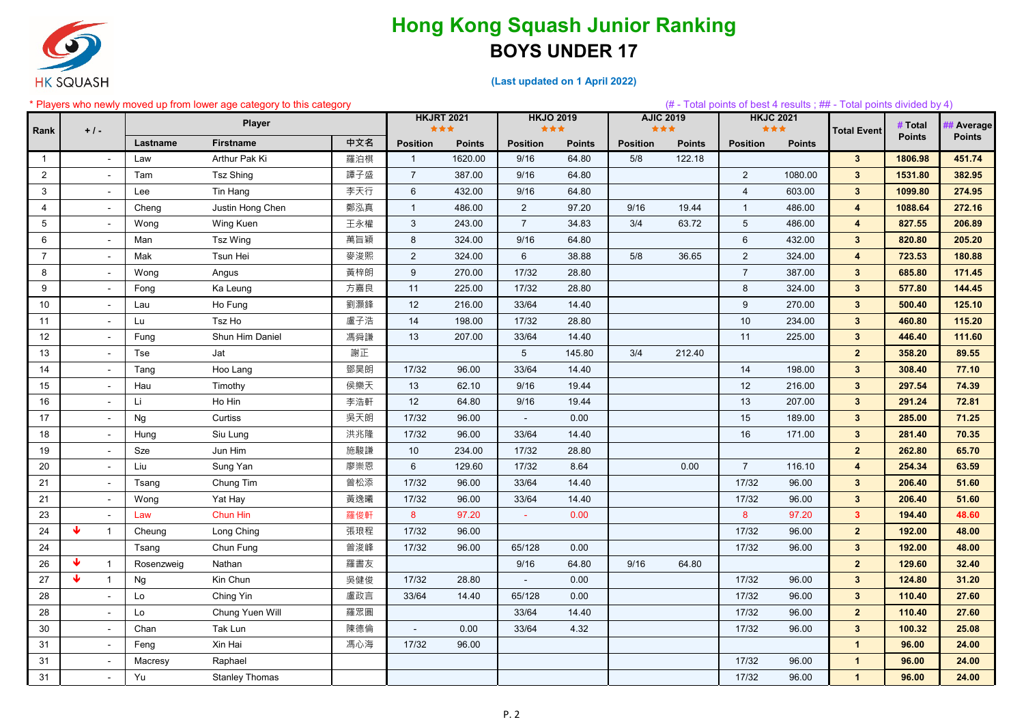

|                 | * Players who newly moved up from lower age category to this category |            |                       |     |                 |                          |                 |                         |                 |                  |                 |                         | $(\#$ - Total points of best 4 results; $\#$ - Total points divided by 4) |               |               |
|-----------------|-----------------------------------------------------------------------|------------|-----------------------|-----|-----------------|--------------------------|-----------------|-------------------------|-----------------|------------------|-----------------|-------------------------|---------------------------------------------------------------------------|---------------|---------------|
|                 |                                                                       |            | <b>Player</b>         |     |                 | <b>HKJRT 2021</b><br>*** |                 | <b>HKJO 2019</b><br>*** | ***             | <b>AJIC 2019</b> |                 | <b>HKJC 2021</b><br>*** |                                                                           | # Total       | # Average     |
| Rank            | $+1-$                                                                 | Lastname   | <b>Firstname</b>      | 中文名 | <b>Position</b> | <b>Points</b>            | <b>Position</b> | <b>Points</b>           | <b>Position</b> | <b>Points</b>    | <b>Position</b> | <b>Points</b>           | <b>Total Event</b>                                                        | <b>Points</b> | <b>Points</b> |
|                 |                                                                       |            | Arthur Pak Ki         | 羅泊棋 | $\overline{1}$  | 1620.00                  |                 | 64.80                   | 5/8             | 122.18           |                 |                         |                                                                           | 1806.98       | 451.74        |
|                 | $\sim$                                                                | Law        |                       |     |                 |                          | 9/16            |                         |                 |                  |                 |                         | $3\phantom{.0}$                                                           |               |               |
| $\overline{2}$  | $\overline{\phantom{a}}$                                              | Tam        | <b>Tsz Shing</b>      | 譚子盛 | $\overline{7}$  | 387.00                   | 9/16            | 64.80                   |                 |                  | $\overline{2}$  | 1080.00                 | $\mathbf{3}$                                                              | 1531.80       | 382.95        |
| 3               | $\blacksquare$                                                        | Lee        | Tin Hang              | 李天行 | 6               | 432.00                   | 9/16            | 64.80                   |                 |                  | $\overline{A}$  | 603.00                  | $3\phantom{.0}$                                                           | 1099.80       | 274.95        |
| $\overline{4}$  | $\sim$                                                                | Cheng      | Justin Hong Chen      | 鄭泓真 | $\mathbf 1$     | 486.00                   | $\overline{2}$  | 97.20                   | 9/16            | 19.44            | -1              | 486.00                  | $\overline{\mathbf{4}}$                                                   | 1088.64       | 272.16        |
| $5\phantom{.0}$ | $\overline{\phantom{a}}$                                              | Wong       | Wing Kuen             | 王永權 | 3               | 243.00                   | $\overline{7}$  | 34.83                   | 3/4             | 63.72            | $5\phantom{.0}$ | 486.00                  | $\overline{\mathbf{4}}$                                                   | 827.55        | 206.89        |
| 6               | $\sim$                                                                | Man        | Tsz Wing              | 萬旨穎 | 8               | 324.00                   | 9/16            | 64.80                   |                 |                  | 6               | 432.00                  | $3\phantom{.0}$                                                           | 820.80        | 205.20        |
| $\overline{7}$  | $\sim$                                                                | Mak        | Tsun Hei              | 麥浚熙 | $\overline{2}$  | 324.00                   | 6               | 38.88                   | 5/8             | 36.65            | $\overline{2}$  | 324.00                  | $\overline{4}$                                                            | 723.53        | 180.88        |
| 8               | $\overline{\phantom{a}}$                                              | Wong       | Angus                 | 黃梓朗 | 9               | 270.00                   | 17/32           | 28.80                   |                 |                  | $\overline{7}$  | 387.00                  | $3\phantom{.0}$                                                           | 685.80        | 171.45        |
| 9               | $\overline{\phantom{a}}$                                              | Fong       | Ka Leung              | 方嘉良 | 11              | 225.00                   | 17/32           | 28.80                   |                 |                  | 8               | 324.00                  | 3 <sup>1</sup>                                                            | 577.80        | 144.45        |
| 10              | $\blacksquare$                                                        | Lau        | Ho Fung               | 劉灝鋒 | 12              | 216.00                   | 33/64           | 14.40                   |                 |                  | 9               | 270.00                  | $3\phantom{a}$                                                            | 500.40        | 125.10        |
| 11              |                                                                       | Lu         | Tsz Ho                | 盧子浩 | 14              | 198.00                   | 17/32           | 28.80                   |                 |                  | 10              | 234.00                  | $3\phantom{a}$                                                            | 460.80        | 115.20        |
| 12              | $\sim$                                                                | Fung       | Shun Him Daniel       | 馮舜謙 | 13              | 207.00                   | 33/64           | 14.40                   |                 |                  | 11              | 225.00                  | $3\phantom{a}$                                                            | 446.40        | 111.60        |
| 13              | $\blacksquare$                                                        | Tse        | Jat                   | 謝正  |                 |                          | 5               | 145.80                  | 3/4             | 212.40           |                 |                         | 2 <sup>2</sup>                                                            | 358.20        | 89.55         |
| 14              | $\blacksquare$                                                        | Tang       | Hoo Lang              | 鄧昊朗 | 17/32           | 96.00                    | 33/64           | 14.40                   |                 |                  | 14              | 198.00                  | $3\phantom{.0}$                                                           | 308.40        | 77.10         |
| 15              | $\overline{\phantom{a}}$                                              | Hau        | Timothy               | 侯樂天 | 13              | 62.10                    | 9/16            | 19.44                   |                 |                  | 12              | 216.00                  | $3\phantom{a}$                                                            | 297.54        | 74.39         |
| 16              | $\overline{\phantom{a}}$                                              | Li         | Ho Hin                | 李浩軒 | 12              | 64.80                    | 9/16            | 19.44                   |                 |                  | 13              | 207.00                  | $3\phantom{a}$                                                            | 291.24        | 72.81         |
| 17              | $\sim$                                                                | <b>Ng</b>  | Curtiss               | 吳天朗 | 17/32           | 96.00                    | $\blacksquare$  | 0.00                    |                 |                  | 15              | 189.00                  | $3\phantom{.0}$                                                           | 285.00        | 71.25         |
| 18              | $\blacksquare$                                                        | Hung       | Siu Lung              | 洪兆隆 | 17/32           | 96.00                    | 33/64           | 14.40                   |                 |                  | 16              | 171.00                  | $3\phantom{a}$                                                            | 281.40        | 70.35         |
| 19              | $\overline{\phantom{a}}$                                              | Sze        | Jun Him               | 施駿謙 | 10              | 234.00                   | 17/32           | 28.80                   |                 |                  |                 |                         | 2 <sup>2</sup>                                                            | 262.80        | 65.70         |
| 20              | $\sim$                                                                | Liu        | Sung Yan              | 廖崇恩 | 6               | 129.60                   | 17/32           | 8.64                    |                 | 0.00             | $\overline{7}$  | 116.10                  | 4                                                                         | 254.34        | 63.59         |
| 21              | $\sim$                                                                | Tsang      | Chung Tim             | 曾松添 | 17/32           | 96.00                    | 33/64           | 14.40                   |                 |                  | 17/32           | 96.00                   | $3\phantom{a}$                                                            | 206.40        | 51.60         |
| 21              | $\sim$                                                                | Wong       | Yat Hay               | 黃逸曦 | 17/32           | 96.00                    | 33/64           | 14.40                   |                 |                  | 17/32           | 96.00                   | $3\phantom{a}$                                                            | 206.40        | 51.60         |
| 23              |                                                                       |            | Chun Hin              | 羅俊軒 |                 | 97.20                    |                 | 0.00                    |                 |                  | 8               | 97.20                   |                                                                           | 194.40        | 48.60         |
|                 | $\sim$<br>₩                                                           | Law        |                       |     | 8               |                          | $\blacksquare$  |                         |                 |                  |                 |                         | 3 <sup>2</sup>                                                            |               |               |
| 24              | $\overline{1}$                                                        | Cheung     | Long Ching            | 張琅程 | 17/32           | 96.00                    |                 |                         |                 |                  | 17/32           | 96.00                   | 2 <sup>2</sup>                                                            | 192.00        | 48.00         |
| 24              |                                                                       | Tsang      | Chun Fung             | 曾浚峰 | 17/32           | 96.00                    | 65/128          | 0.00                    |                 |                  | 17/32           | 96.00                   | $3\phantom{a}$                                                            | 192.00        | 48.00         |
| 26              | ₩<br>$\overline{1}$                                                   | Rosenzweig | Nathan                | 羅書友 |                 |                          | 9/16            | 64.80                   | 9/16            | 64.80            |                 |                         | $\mathbf{2}$                                                              | 129.60        | 32.40         |
| 27              | ₩<br>$\mathbf{1}$                                                     | <b>Ng</b>  | Kin Chun              | 吳健俊 | 17/32           | 28.80                    |                 | 0.00                    |                 |                  | 17/32           | 96.00                   | $3\phantom{a}$                                                            | 124.80        | 31.20         |
| 28              | $\blacksquare$                                                        | Lo         | Ching Yin             | 盧政言 | 33/64           | 14.40                    | 65/128          | 0.00                    |                 |                  | 17/32           | 96.00                   | $3\phantom{.0}$                                                           | 110.40        | 27.60         |
| 28              | $\overline{\phantom{a}}$                                              | Lo         | Chung Yuen Will       | 羅眾圓 |                 |                          | 33/64           | 14.40                   |                 |                  | 17/32           | 96.00                   | 2 <sup>2</sup>                                                            | 110.40        | 27.60         |
| 30              | $\blacksquare$                                                        | Chan       | Tak Lun               | 陳德倫 |                 | 0.00                     | 33/64           | 4.32                    |                 |                  | 17/32           | 96.00                   | $\mathbf{3}$                                                              | 100.32        | 25.08         |
| 31              | $\sim$                                                                | Feng       | Xin Hai               | 馮心海 | 17/32           | 96.00                    |                 |                         |                 |                  |                 |                         | $\mathbf{1}$                                                              | 96.00         | 24.00         |
| 31              | $\blacksquare$                                                        | Macresy    | Raphael               |     |                 |                          |                 |                         |                 |                  | 17/32           | 96.00                   | $\mathbf{1}$                                                              | 96.00         | 24.00         |
| 31              | $\blacksquare$                                                        | Yu         | <b>Stanley Thomas</b> |     |                 |                          |                 |                         |                 |                  | 17/32           | 96.00                   | $\overline{\mathbf{1}}$                                                   | 96.00         | 24.00         |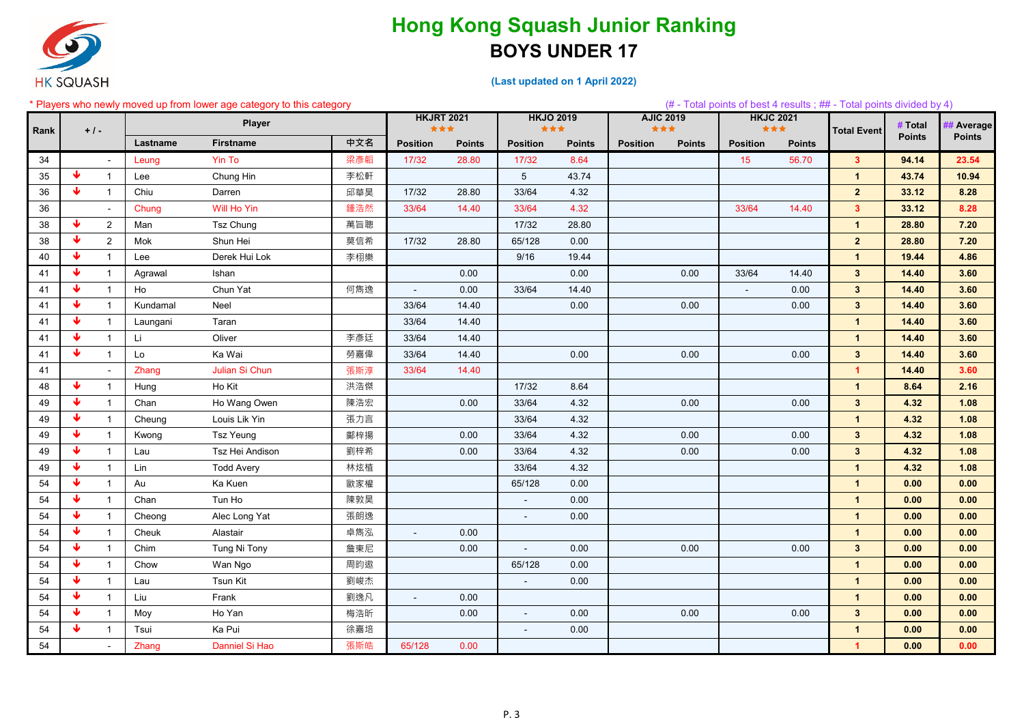

| * Players who newly moved up from lower age category to this category |  |  |  |
|-----------------------------------------------------------------------|--|--|--|
|-----------------------------------------------------------------------|--|--|--|

|      |   |                |          | * Players who newly moved up from lower age category to this category |     |                          |               |                             |               |                         |               |                         |               | (# - Total points of best 4 results; ## - Total points divided by 4) |               |               |
|------|---|----------------|----------|-----------------------------------------------------------------------|-----|--------------------------|---------------|-----------------------------|---------------|-------------------------|---------------|-------------------------|---------------|----------------------------------------------------------------------|---------------|---------------|
|      |   |                |          | Player                                                                |     | <b>HKJRT 2021</b><br>*** |               | <b>HKJO 2019</b><br>***     |               | <b>AJIC 2019</b><br>*** |               | <b>HKJC 2021</b><br>*** |               |                                                                      | # Total       | # Average     |
| Rank |   | $+1-$          | Lastname | <b>Firstname</b>                                                      | 中文名 | <b>Position</b>          | <b>Points</b> | <b>Position</b>             | <b>Points</b> | <b>Position</b>         | <b>Points</b> | <b>Position</b>         | <b>Points</b> | <b>Total Event</b>                                                   | <b>Points</b> | <b>Points</b> |
| 34   |   |                | Leung    | Yin To                                                                | 梁彥韜 | 17/32                    | 28.80         | 17/32                       | 8.64          |                         |               | 15                      | 56.70         | 3 <sup>7</sup>                                                       | 94.14         | 23.54         |
| 35   | ₩ | $\mathbf{1}$   | Lee      | Chung Hin                                                             | 李松軒 |                          |               | $5\phantom{.0}$             | 43.74         |                         |               |                         |               | $\mathbf{1}$                                                         | 43.74         | 10.94         |
| 36   | ₩ |                | Chiu     | Darren                                                                | 邱華昊 | 17/32                    | 28.80         | 33/64                       | 4.32          |                         |               |                         |               | $\mathbf{2}$                                                         | 33.12         | 8.28          |
| 36   |   |                | Chung    | Will Ho Yin                                                           | 鍾浩然 | 33/64                    | 14.40         | 33/64                       | 4.32          |                         |               | 33/64                   | 14.40         | 3 <sup>7</sup>                                                       | 33.12         | 8.28          |
| 38   | ₩ | $\overline{2}$ | Man      | Tsz Chung                                                             | 萬旨聰 |                          |               | 17/32                       | 28.80         |                         |               |                         |               | $\mathbf 1$                                                          | 28.80         | 7.20          |
| 38   | ₩ | $\overline{2}$ | Mok      | Shun Hei                                                              | 莫信希 | 17/32                    | 28.80         | 65/128                      | 0.00          |                         |               |                         |               | 2 <sub>2</sub>                                                       | 28.80         | 7.20          |
| 40   | ₩ |                | Lee      | Derek Hui Lok                                                         | 李栩樂 |                          |               | 9/16                        | 19.44         |                         |               |                         |               | $\mathbf{1}$                                                         | 19.44         | 4.86          |
| 41   | ₩ |                | Agrawal  | Ishan                                                                 |     |                          | 0.00          |                             | 0.00          |                         | 0.00          | 33/64                   | 14.40         | 3 <sup>1</sup>                                                       | 14.40         | 3.60          |
| 41   | ₩ |                | Ho       | Chun Yat                                                              | 何雋逸 |                          | 0.00          | 33/64                       | 14.40         |                         |               | $\blacksquare$          | 0.00          | 3 <sup>1</sup>                                                       | 14.40         | 3.60          |
| 41   | ₩ | $\mathbf 1$    | Kundamal | Neel                                                                  |     | 33/64                    | 14.40         |                             | 0.00          |                         | 0.00          |                         | 0.00          | 3 <sup>1</sup>                                                       | 14.40         | 3.60          |
| 41   | ₩ |                | Laungani | Taran                                                                 |     | 33/64                    | 14.40         |                             |               |                         |               |                         |               | $\mathbf 1$                                                          | 14.40         | 3.60          |
| 41   | ₩ |                | Li       | Oliver                                                                | 李彥廷 | 33/64                    | 14.40         |                             |               |                         |               |                         |               | $\mathbf{1}$                                                         | 14.40         | 3.60          |
| 41   | ₩ | 1              | Lo       | Ka Wai                                                                | 勞嘉偉 | 33/64                    | 14.40         |                             | 0.00          |                         | 0.00          |                         | 0.00          | 3 <sup>1</sup>                                                       | 14.40         | 3.60          |
| 41   |   |                | Zhang    | Julian Si Chun                                                        | 張斯淳 | 33/64                    | 14.40         |                             |               |                         |               |                         |               | $\mathbf{1}$                                                         | 14.40         | 3.60          |
| 48   | ₩ | $\mathbf{1}$   | Hung     | Ho Kit                                                                | 洪浩傑 |                          |               | 17/32                       | 8.64          |                         |               |                         |               | $\mathbf{1}$                                                         | 8.64          | 2.16          |
| 49   | ₩ | $\mathbf{1}$   | Chan     | Ho Wang Owen                                                          | 陳浩宏 |                          | 0.00          | 33/64                       | 4.32          |                         | 0.00          |                         | 0.00          | 3 <sup>2</sup>                                                       | 4.32          | 1.08          |
| 49   | ₩ |                | Cheung   | Louis Lik Yin                                                         | 張力言 |                          |               | 33/64                       | 4.32          |                         |               |                         |               | $\mathbf{1}$                                                         | 4.32          | 1.08          |
| 49   | ₩ |                | Kwong    | <b>Tsz Yeung</b>                                                      | 鄺梓揚 |                          | 0.00          | 33/64                       | 4.32          |                         | 0.00          |                         | 0.00          | 3 <sup>1</sup>                                                       | 4.32          | 1.08          |
| 49   | ₩ |                | Lau      | Tsz Hei Andison                                                       | 劉梓希 |                          | 0.00          | 33/64                       | 4.32          |                         | 0.00          |                         | 0.00          | 3 <sup>1</sup>                                                       | 4.32          | 1.08          |
| 49   | ₩ |                | Lin      | <b>Todd Avery</b>                                                     | 林炫植 |                          |               | 33/64                       | 4.32          |                         |               |                         |               | $\mathbf{1}$                                                         | 4.32          | 1.08          |
| 54   | ₩ |                | Au       | Ka Kuen                                                               | 歐家權 |                          |               | 65/128                      | 0.00          |                         |               |                         |               | $\mathbf{1}$                                                         | 0.00          | 0.00          |
| 54   | ₩ |                | Chan     | Tun Ho                                                                | 陳敦昊 |                          |               | $\blacksquare$              | 0.00          |                         |               |                         |               | $\mathbf{1}$                                                         | 0.00          | 0.00          |
| 54   | ₩ |                | Cheong   | Alec Long Yat                                                         | 張朗逸 |                          |               | $\blacksquare$              | 0.00          |                         |               |                         |               | $\mathbf{1}$                                                         | 0.00          | 0.00          |
| 54   | ₩ |                | Cheuk    | Alastair                                                              | 卓雋泓 |                          | 0.00          |                             |               |                         |               |                         |               | $\mathbf 1$                                                          | 0.00          | 0.00          |
| 54   | ₩ |                | Chim     | Tung Ni Tony                                                          | 詹東尼 |                          | 0.00          | $\sim$                      | 0.00          |                         | 0.00          |                         | 0.00          | 3 <sup>1</sup>                                                       | 0.00          | 0.00          |
| 54   | ₩ |                | Chow     | Wan Ngo                                                               | 周昀遨 |                          |               | 65/128                      | 0.00          |                         |               |                         |               | $\mathbf{1}$                                                         | 0.00          | 0.00          |
| 54   | ₩ |                | Lau      | Tsun Kit                                                              | 劉峻杰 |                          |               | $\mathcal{L}_{\mathcal{A}}$ | 0.00          |                         |               |                         |               | $\mathbf{1}$                                                         | 0.00          | 0.00          |
| 54   | ₩ |                | Liu      | Frank                                                                 | 劉逸凡 | $\sim$                   | 0.00          |                             |               |                         |               |                         |               | $\mathbf{1}$                                                         | 0.00          | 0.00          |
| 54   | ₩ |                | Moy      | Ho Yan                                                                | 梅浩昕 |                          | 0.00          | $\sim$                      | 0.00          |                         | 0.00          |                         | 0.00          | 3 <sup>1</sup>                                                       | 0.00          | 0.00          |
| 54   | ₩ |                | Tsui     | Ka Pui                                                                | 徐嘉培 |                          |               | $\blacksquare$              | 0.00          |                         |               |                         |               | $\mathbf 1$                                                          | 0.00          | 0.00          |
| 54   |   |                | Zhang    | Danniel Si Hao                                                        | 張斯皓 | 65/128                   | 0.00          |                             |               |                         |               |                         |               | $\mathbf{1}$                                                         | 0.00          | 0.00          |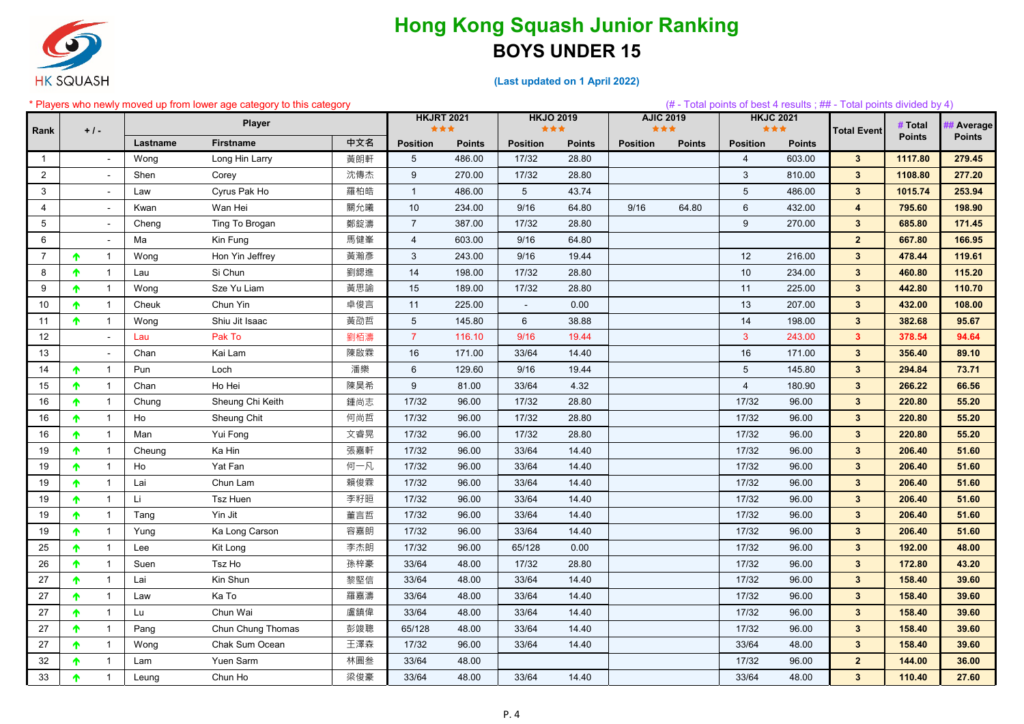

|                |       | * Players who newly moved up from lower age category to this category |          |                   |     |                   |               |                 |                  |                 |                  |                 |                  | (# - Total points of best 4 results; ## - Total points divided by 4) |               |               |
|----------------|-------|-----------------------------------------------------------------------|----------|-------------------|-----|-------------------|---------------|-----------------|------------------|-----------------|------------------|-----------------|------------------|----------------------------------------------------------------------|---------------|---------------|
|                |       |                                                                       |          | <b>Player</b>     |     | <b>HKJRT 2021</b> |               |                 | <b>HKJO 2019</b> |                 | <b>AJIC 2019</b> |                 | <b>HKJC 2021</b> |                                                                      | # Total       | # Average     |
| Rank           | $+1-$ |                                                                       |          |                   |     | ***               |               |                 | ***              | ***             |                  |                 | ***              | <b>Total Event</b>                                                   | <b>Points</b> | <b>Points</b> |
|                |       |                                                                       | Lastname | <b>Firstname</b>  | 中文名 | <b>Position</b>   | <b>Points</b> | <b>Position</b> | <b>Points</b>    | <b>Position</b> | <b>Points</b>    | <b>Position</b> | <b>Points</b>    |                                                                      |               |               |
| $\mathbf{1}$   |       | $\sim$                                                                | Wong     | Long Hin Larry    | 黃朗軒 | 5                 | 486.00        | 17/32           | 28.80            |                 |                  | $\overline{4}$  | 603.00           | $3^{\circ}$                                                          | 1117.80       | 279.45        |
| $\overline{2}$ |       | $\blacksquare$                                                        | Shen     | Corey             | 沈傳杰 | 9                 | 270.00        | 17/32           | 28.80            |                 |                  | 3               | 810.00           | $3\phantom{.0}$                                                      | 1108.80       | 277.20        |
| 3              |       | $\blacksquare$                                                        | Law      | Cyrus Pak Ho      | 羅柏皓 | $\mathbf{1}$      | 486.00        | $\overline{5}$  | 43.74            |                 |                  | 5               | 486.00           | $3\phantom{a}$                                                       | 1015.74       | 253.94        |
| $\overline{4}$ |       | $\blacksquare$                                                        | Kwan     | Wan Hei           | 關允曦 | 10                | 234.00        | 9/16            | 64.80            | 9/16            | 64.80            | 6               | 432.00           | $\overline{\mathbf{4}}$                                              | 795.60        | 198.90        |
| 5              |       | $\blacksquare$                                                        | Cheng    | Ting To Brogan    | 鄭錠濤 | $\overline{7}$    | 387.00        | 17/32           | 28.80            |                 |                  | 9               | 270.00           | $3\phantom{.0}$                                                      | 685.80        | 171.45        |
| 6              |       | $\blacksquare$                                                        | Ma       | Kin Fung          | 馬健峯 | $\overline{4}$    | 603.00        | 9/16            | 64.80            |                 |                  |                 |                  | $\overline{2}$                                                       | 667.80        | 166.95        |
| $\overline{7}$ | ᠰ     | $\overline{1}$                                                        | Wong     | Hon Yin Jeffrey   | 黃瀚彥 | $\mathbf{3}$      | 243.00        | 9/16            | 19.44            |                 |                  | 12              | 216.00           | $3\phantom{a}$                                                       | 478.44        | 119.61        |
| 8              |       |                                                                       | Lau      | Si Chun           | 劉鍶進 | 14                | 198.00        | 17/32           | 28.80            |                 |                  | 10              | 234.00           | $3\phantom{a}$                                                       | 460.80        | 115.20        |
| 9              | ᠰ     | $\overline{1}$                                                        | Wong     | Sze Yu Liam       | 黃思諭 | 15                | 189.00        | 17/32           | 28.80            |                 |                  | 11              | 225.00           | $3\phantom{.0}$                                                      | 442.80        | 110.70        |
| 10             | ᠰ     | $\overline{1}$                                                        | Cheuk    | Chun Yin          | 卓俊言 | 11                | 225.00        | $\blacksquare$  | 0.00             |                 |                  | 13              | 207.00           | $3\phantom{.0}$                                                      | 432.00        | 108.00        |
| 11             | ↑     | $\overline{1}$                                                        | Wong     | Shiu Jit Isaac    | 黃劭哲 | $5\phantom{.0}$   | 145.80        | 6               | 38.88            |                 |                  | 14              | 198.00           | $3\phantom{a}$                                                       | 382.68        | 95.67         |
| 12             |       | $\blacksquare$                                                        | Lau      | Pak To            | 劉栢濤 | $\overline{7}$    | 116.10        | 9/16            | 19.44            |                 |                  | 3               | 243.00           | 3 <sup>2</sup>                                                       | 378.54        | 94.64         |
| 13             |       | $\sim$                                                                | Chan     | Kai Lam           | 陳啟霖 | 16                | 171.00        | 33/64           | 14.40            |                 |                  | 16              | 171.00           | $3^{\circ}$                                                          | 356.40        | 89.10         |
| 14             | ᠰ     | $\mathbf{1}$                                                          | Pun      | Loch              | 潘樂  | $6\phantom{.}$    | 129.60        | 9/16            | 19.44            |                 |                  | 5               | 145.80           | $3\phantom{a}$                                                       | 294.84        | 73.71         |
| 15             | ᠰ     | $\mathbf{1}$                                                          | Chan     | Ho Hei            | 陳昊希 | 9                 | 81.00         | 33/64           | 4.32             |                 |                  | $\overline{4}$  | 180.90           | $3\phantom{a}$                                                       | 266.22        | 66.56         |
| 16             |       |                                                                       | Chung    | Sheung Chi Keith  | 鍾尚志 | 17/32             | 96.00         | 17/32           | 28.80            |                 |                  | 17/32           | 96.00            | $3\phantom{.0}$                                                      | 220.80        | 55.20         |
| 16             | ᠰ     | $\overline{1}$                                                        | Ho       | Sheung Chit       | 何尚哲 | 17/32             | 96.00         | 17/32           | 28.80            |                 |                  | 17/32           | 96.00            | $3\phantom{a}$                                                       | 220.80        | 55.20         |
| 16             | ↑     | $\overline{1}$                                                        | Man      | Yui Fong          | 文睿晃 | 17/32             | 96.00         | 17/32           | 28.80            |                 |                  | 17/32           | 96.00            | $3\phantom{a}$                                                       | 220.80        | 55.20         |
| 19             |       |                                                                       | Cheung   | Ka Hin            | 張嘉軒 | 17/32             | 96.00         | 33/64           | 14.40            |                 |                  | 17/32           | 96.00            | $3\phantom{.0}$                                                      | 206.40        | 51.60         |
| 19             | ᠰ     | $\overline{1}$                                                        | Ho       | Yat Fan           | 何一凡 | 17/32             | 96.00         | 33/64           | 14.40            |                 |                  | 17/32           | 96.00            | $3\phantom{a}$                                                       | 206.40        | 51.60         |
| 19             | ᠰ     |                                                                       | Lai      | Chun Lam          | 賴俊霖 | 17/32             | 96.00         | 33/64           | 14.40            |                 |                  | 17/32           | 96.00            | $3\phantom{a}$                                                       | 206.40        | 51.60         |
| 19             |       |                                                                       | Li       | Tsz Huen          | 李籽晅 | 17/32             | 96.00         | 33/64           | 14.40            |                 |                  | 17/32           | 96.00            | $3\phantom{a}$                                                       | 206.40        | 51.60         |
| 19             | ᠰ     | $\overline{1}$                                                        | Tang     | Yin Jit           | 董言哲 | 17/32             | 96.00         | 33/64           | 14.40            |                 |                  | 17/32           | 96.00            | $3\phantom{.0}$                                                      | 206.40        | 51.60         |
| 19             |       | $\mathbf{1}$                                                          | Yung     | Ka Long Carson    | 容嘉朗 | 17/32             | 96.00         | 33/64           | 14.40            |                 |                  | 17/32           | 96.00            | $3\phantom{.0}$                                                      | 206.40        | 51.60         |
| 25             | ᠰ     | $\mathbf 1$                                                           | Lee      | Kit Long          | 李杰朗 | 17/32             | 96.00         | 65/128          | 0.00             |                 |                  | 17/32           | 96.00            | $3\phantom{a}$                                                       | 192.00        | 48.00         |
| 26             | T.    |                                                                       | Suen     | Tsz Ho            | 孫梓豪 | 33/64             | 48.00         | 17/32           | 28.80            |                 |                  | 17/32           | 96.00            | $3\phantom{a}$                                                       | 172.80        | 43.20         |
| 27             | T.    |                                                                       | Lai      | Kin Shun          | 黎堅信 | 33/64             | 48.00         | 33/64           | 14.40            |                 |                  | 17/32           | 96.00            | $3\phantom{a}$                                                       | 158.40        | 39.60         |
| 27             | ᠰ     | $\mathbf 1$                                                           | Law      | Ka To             | 羅嘉濤 | 33/64             | 48.00         | 33/64           | 14.40            |                 |                  | 17/32           | 96.00            | $3\phantom{a}$                                                       | 158.40        | 39.60         |
| 27             | ᠰ     | $\mathbf{1}$                                                          | Lu       | Chun Wai          | 盧鎮偉 | 33/64             | 48.00         | 33/64           | 14.40            |                 |                  | 17/32           | 96.00            | $3\phantom{a}$                                                       | 158.40        | 39.60         |
| 27             |       |                                                                       |          | Chun Chung Thomas | 彭竣聰 | 65/128            | 48.00         | 33/64           | 14.40            |                 |                  | 17/32           | 96.00            | $3\phantom{a}$                                                       | 158.40        | 39.60         |
|                | Ϋ.    | $\overline{1}$                                                        | Pang     |                   | 王澤森 |                   |               |                 |                  |                 |                  |                 |                  |                                                                      |               |               |
| 27             | ᠰ     |                                                                       | Wong     | Chak Sum Ocean    |     | 17/32             | 96.00         | 33/64           | 14.40            |                 |                  | 33/64           | 48.00            | $3\phantom{a}$                                                       | 158.40        | 39.60         |
| 32             | ↑     | $\mathbf{1}$                                                          | Lam      | Yuen Sarm         | 林圓叁 | 33/64             | 48.00         |                 |                  |                 |                  | 17/32           | 96.00            | $\overline{2}$                                                       | 144.00        | 36.00         |
| 33             |       |                                                                       | Leung    | Chun Ho           | 梁俊豪 | 33/64             | 48.00         | 33/64           | 14.40            |                 |                  | 33/64           | 48.00            | $3\phantom{a}$                                                       | 110.40        | 27.60         |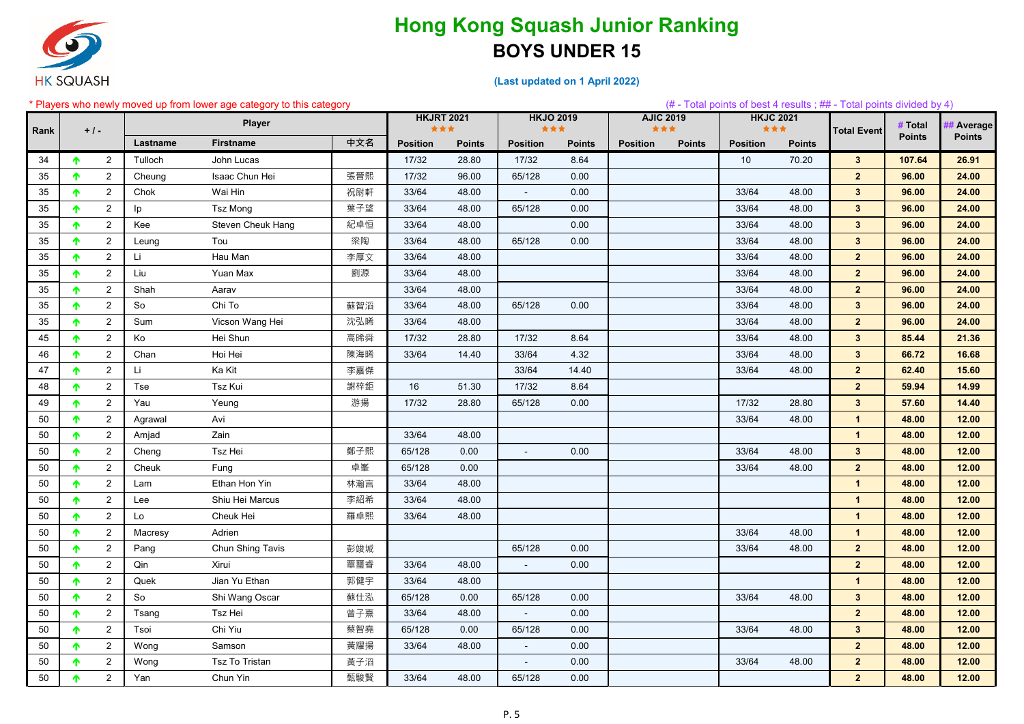

|      |       |                |          | * Players who newly moved up from lower age category to this category |     |                   |               |                  |               |                 |                  |                 |                  | $(\#$ - Total points of best 4 results; $\#$ - Total points divided by 4) |               |                |
|------|-------|----------------|----------|-----------------------------------------------------------------------|-----|-------------------|---------------|------------------|---------------|-----------------|------------------|-----------------|------------------|---------------------------------------------------------------------------|---------------|----------------|
|      |       |                |          | Player                                                                |     | <b>HKJRT 2021</b> |               | <b>HKJO 2019</b> |               |                 | <b>AJIC 2019</b> |                 | <b>HKJC 2021</b> |                                                                           | # Total       | <b>Average</b> |
| Rank | $+1-$ |                |          |                                                                       |     | ***               |               | ***              |               | ***             |                  |                 | ***              | <b>Total Event</b>                                                        | <b>Points</b> | <b>Points</b>  |
|      |       |                | Lastname | <b>Firstname</b>                                                      | 中文名 | <b>Position</b>   | <b>Points</b> | <b>Position</b>  | <b>Points</b> | <b>Position</b> | <b>Points</b>    | <b>Position</b> | <b>Points</b>    |                                                                           |               |                |
| 34   | ↑     | $\overline{2}$ | Tulloch  | John Lucas                                                            |     | 17/32             | 28.80         | 17/32            | 8.64          |                 |                  | 10              | 70.20            | 3 <sup>1</sup>                                                            | 107.64        | 26.91          |
| 35   |       | $2^{\circ}$    | Cheung   | Isaac Chun Hei                                                        | 張晉熙 | 17/32             | 96.00         | 65/128           | 0.00          |                 |                  |                 |                  | 2 <sub>2</sub>                                                            | 96.00         | 24.00          |
| 35   | ↑     | $2^{\circ}$    | Chok     | Wai Hin                                                               | 祝尉軒 | 33/64             | 48.00         | $\blacksquare$   | 0.00          |                 |                  | 33/64           | 48.00            | $3\phantom{a}$                                                            | 96.00         | 24.00          |
| 35   |       | $\overline{2}$ | Ip       | <b>Tsz Mong</b>                                                       | 葉子望 | 33/64             | 48.00         | 65/128           | 0.00          |                 |                  | 33/64           | 48.00            | $\mathbf{3}$                                                              | 96.00         | 24.00          |
| 35   |       | $2^{\circ}$    | Kee      | Steven Cheuk Hang                                                     | 紀卓恒 | 33/64             | 48.00         |                  | 0.00          |                 |                  | 33/64           | 48.00            | $3\phantom{a}$                                                            | 96.00         | 24.00          |
| 35   | ᠰ     | $\overline{2}$ | Leung    | Tou                                                                   | 梁陶  | 33/64             | 48.00         | 65/128           | 0.00          |                 |                  | 33/64           | 48.00            | $3\phantom{a}$                                                            | 96.00         | 24.00          |
| 35   |       | $\overline{2}$ | Li       | Hau Man                                                               | 李厚文 | 33/64             | 48.00         |                  |               |                 |                  | 33/64           | 48.00            | 2 <sub>2</sub>                                                            | 96.00         | 24.00          |
| 35   | ᠰ     | $\overline{2}$ | Liu      | Yuan Max                                                              | 劉源  | 33/64             | 48.00         |                  |               |                 |                  | 33/64           | 48.00            | 2 <sub>2</sub>                                                            | 96.00         | 24.00          |
| 35   |       | $\overline{2}$ | Shah     | Aarav                                                                 |     | 33/64             | 48.00         |                  |               |                 |                  | 33/64           | 48.00            | 2 <sub>2</sub>                                                            | 96.00         | 24.00          |
| 35   |       | $\overline{2}$ | So       | Chi To                                                                | 蘇智滔 | 33/64             | 48.00         | 65/128           | 0.00          |                 |                  | 33/64           | 48.00            | $3\phantom{a}$                                                            | 96.00         | 24.00          |
| 35   | ᠰ     | $\overline{2}$ | Sum      | Vicson Wang Hei                                                       | 沈弘晞 | 33/64             | 48.00         |                  |               |                 |                  | 33/64           | 48.00            | 2 <sup>1</sup>                                                            | 96.00         | 24.00          |
| 45   |       | $\overline{2}$ | Ko       | Hei Shun                                                              | 高晞舜 | 17/32             | 28.80         | 17/32            | 8.64          |                 |                  | 33/64           | 48.00            | $3\phantom{a}$                                                            | 85.44         | 21.36          |
| 46   |       | $\overline{2}$ | Chan     | Hoi Hei                                                               | 陳海晞 | 33/64             | 14.40         | 33/64            | 4.32          |                 |                  | 33/64           | 48.00            | $3\phantom{a}$                                                            | 66.72         | 16.68          |
| 47   | ♠     | $\overline{2}$ | Li       | Ka Kit                                                                | 李嘉傑 |                   |               | 33/64            | 14.40         |                 |                  | 33/64           | 48.00            | 2 <sub>2</sub>                                                            | 62.40         | 15.60          |
| 48   |       | $\overline{2}$ | Tse      | Tsz Kui                                                               | 謝梓鉅 | 16                | 51.30         | 17/32            | 8.64          |                 |                  |                 |                  | 2 <sub>2</sub>                                                            | 59.94         | 14.99          |
| 49   |       | $\overline{2}$ | Yau      | Yeung                                                                 | 游揚  | 17/32             | 28.80         | 65/128           | 0.00          |                 |                  | 17/32           | 28.80            | $\mathbf{3}$                                                              | 57.60         | 14.40          |
| 50   | ↑     | $\overline{2}$ | Agrawal  | Avi                                                                   |     |                   |               |                  |               |                 |                  | 33/64           | 48.00            | $\mathbf{1}$                                                              | 48.00         | 12.00          |
| 50   | ᠰ     | $\overline{2}$ | Amjad    | Zain                                                                  |     | 33/64             | 48.00         |                  |               |                 |                  |                 |                  | $\mathbf{1}$                                                              | 48.00         | 12.00          |
| 50   |       | $\overline{2}$ | Cheng    | Tsz Hei                                                               | 鄭子熙 | 65/128            | 0.00          |                  | 0.00          |                 |                  | 33/64           | 48.00            | $3\phantom{a}$                                                            | 48.00         | 12.00          |
| 50   | ᠰ     | $\overline{2}$ | Cheuk    | Fung                                                                  | 卓峯  | 65/128            | 0.00          |                  |               |                 |                  | 33/64           | 48.00            | 2 <sub>2</sub>                                                            | 48.00         | 12.00          |
| 50   |       | $\overline{2}$ | Lam      | Ethan Hon Yin                                                         | 林瀚言 | 33/64             | 48.00         |                  |               |                 |                  |                 |                  | $\mathbf{1}$                                                              | 48.00         | 12.00          |
| 50   |       | $\overline{2}$ | Lee      | Shiu Hei Marcus                                                       | 李紹希 | 33/64             | 48.00         |                  |               |                 |                  |                 |                  | $\mathbf{1}$                                                              | 48.00         | 12.00          |
| 50   | ᠰ     | $\overline{2}$ | Lo       | Cheuk Hei                                                             | 羅卓熙 | 33/64             | 48.00         |                  |               |                 |                  |                 |                  | $\mathbf{1}$                                                              | 48.00         | 12.00          |
| 50   |       | $\overline{2}$ | Macresy  | Adrien                                                                |     |                   |               |                  |               |                 |                  | 33/64           | 48.00            | $\mathbf{1}$                                                              | 48.00         | 12.00          |
| 50   | ↑     | $\overline{2}$ | Pang     | Chun Shing Tavis                                                      | 彭竣城 |                   |               | 65/128           | 0.00          |                 |                  | 33/64           | 48.00            | 2 <sup>2</sup>                                                            | 48.00         | 12.00          |
| 50   | ↑     | $\overline{2}$ | Qin      | Xirui                                                                 | 覃璽睿 | 33/64             | 48.00         | $\sim$           | 0.00          |                 |                  |                 |                  | $\mathbf{2}$                                                              | 48.00         | 12.00          |
| 50   | T.    | $2^{\circ}$    | Quek     | Jian Yu Ethan                                                         | 郭健宇 | 33/64             | 48.00         |                  |               |                 |                  |                 |                  | $\mathbf{1}$                                                              | 48.00         | 12.00          |
| 50   | ↑     | $2^{\circ}$    | So       | Shi Wang Oscar                                                        | 蘇仕泓 | 65/128            | 0.00          | 65/128           | 0.00          |                 |                  | 33/64           | 48.00            | 3 <sup>1</sup>                                                            | 48.00         | 12.00          |
| 50   | ↑     | $\overline{2}$ | Tsang    | Tsz Hei                                                               | 曾子熹 | 33/64             | 48.00         | $\sim$           | 0.00          |                 |                  |                 |                  | 2 <sup>2</sup>                                                            | 48.00         | 12.00          |
| 50   |       | $2^{\circ}$    | Tsoi     | Chi Yiu                                                               | 蔡智堯 | 65/128            | 0.00          | 65/128           | 0.00          |                 |                  | 33/64           | 48.00            | 3 <sup>1</sup>                                                            | 48.00         | 12.00          |
| 50   | ↑     | $\overline{2}$ | Wong     | Samson                                                                | 黃耀揚 | 33/64             | 48.00         | $\sim$           | 0.00          |                 |                  |                 |                  | 2 <sup>1</sup>                                                            | 48.00         | 12.00          |
| 50   | ↑     | $2^{\circ}$    | Wong     | Tsz To Tristan                                                        | 黃子滔 |                   |               | $\sim$           | 0.00          |                 |                  | 33/64           | 48.00            | 2 <sup>1</sup>                                                            | 48.00         | 12.00          |
| 50   |       | $2^{\circ}$    | Yan      | Chun Yin                                                              | 甄駿賢 | 33/64             | 48.00         | 65/128           | 0.00          |                 |                  |                 |                  | 2 <sub>2</sub>                                                            | 48.00         | 12.00          |
|      |       |                |          |                                                                       |     |                   |               |                  |               |                 |                  |                 |                  |                                                                           |               |                |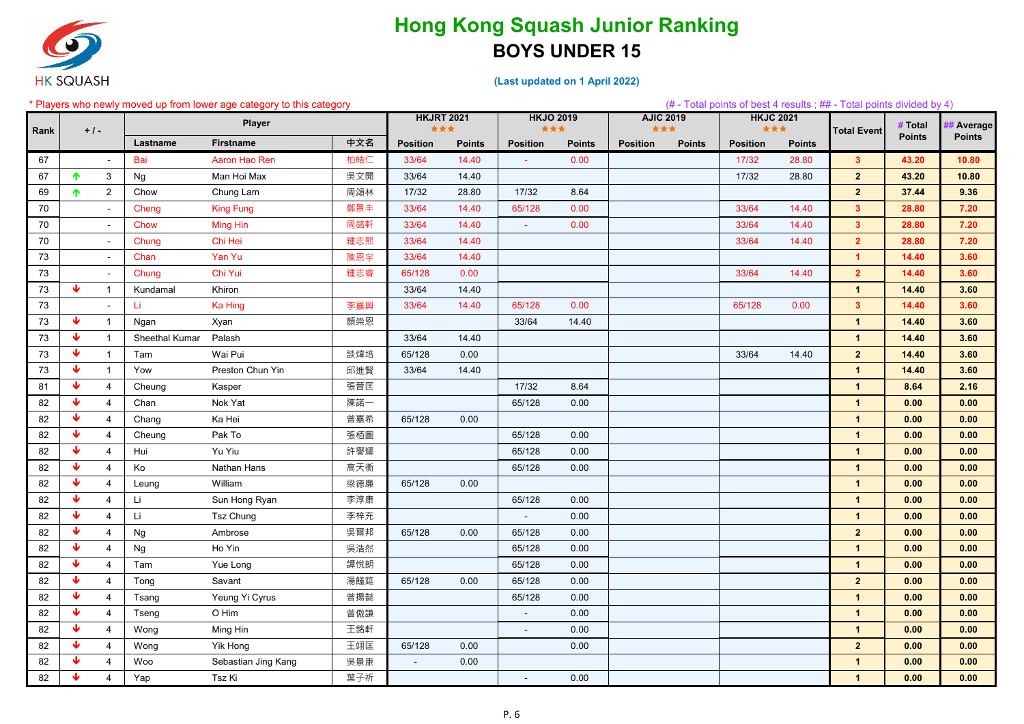

| * Players who newly moved up from lower age category to this category |                 |                |                |                     |     |                          |               |                         |               |                         |               |                         |               | $#$ - Total points of best 4 results; $#$ - Total points divided by 4) |               |               |
|-----------------------------------------------------------------------|-----------------|----------------|----------------|---------------------|-----|--------------------------|---------------|-------------------------|---------------|-------------------------|---------------|-------------------------|---------------|------------------------------------------------------------------------|---------------|---------------|
|                                                                       |                 |                |                | <b>Player</b>       |     | <b>HKJRT 2021</b><br>*** |               | <b>HKJO 2019</b><br>*** |               | <b>AJIC 2019</b><br>*** |               | <b>HKJC 2021</b><br>*** |               |                                                                        | # Total       | # Average     |
| Rank                                                                  | $+1-$           |                | Lastname       | <b>Firstname</b>    | 中文名 | <b>Position</b>          | <b>Points</b> | <b>Position</b>         | <b>Points</b> | <b>Position</b>         | <b>Points</b> | <b>Position</b>         | <b>Points</b> | <b>Total Event</b>                                                     | <b>Points</b> | <b>Points</b> |
| 67                                                                    |                 | $\sim$         | Bai            | Aaron Hao Ren       | 柏皓仁 | 33/64                    | 14.40         | $\sim$                  | 0.00          |                         |               | 17/32                   | 28.80         | 3 <sup>7</sup>                                                         | 43.20         | 10.80         |
| 67                                                                    | ♠               | $\mathbf{3}$   | Ng             | Man Hoi Max         | 吳文開 | 33/64                    | 14.40         |                         |               |                         |               | 17/32                   | 28.80         | $\overline{\mathbf{2}}$                                                | 43.20         | 10.80         |
| 69                                                                    | ♠               | $\overline{2}$ | Chow           | Chung Lam           | 周頌林 | 17/32                    | 28.80         | 17/32                   | 8.64          |                         |               |                         |               | 2 <sub>2</sub>                                                         | 37.44         | 9.36          |
| 70                                                                    |                 | $\blacksquare$ | Cheng          | <b>King Fung</b>    | 鄭景丰 | 33/64                    | 14.40         | 65/128                  | 0.00          |                         |               | 33/64                   | 14.40         | 3 <sup>1</sup>                                                         | 28.80         | 7.20          |
| 70                                                                    |                 | $\blacksquare$ | Chow           | <b>Ming Hin</b>     | 周銘軒 | 33/64                    | 14.40         | $\omega$                | 0.00          |                         |               | 33/64                   | 14.40         | 3 <sup>7</sup>                                                         | 28.80         | 7.20          |
| 70                                                                    |                 | $\sim$         | Chung          | Chi Hei             | 鍾志熙 | 33/64                    | 14.40         |                         |               |                         |               | 33/64                   | 14.40         | 2 <sup>1</sup>                                                         | 28.80         | 7.20          |
| 73                                                                    |                 | $\sim$         | Chan           | Yan Yu              | 陳恩宇 | 33/64                    | 14.40         |                         |               |                         |               |                         |               | $\mathbf{1}$                                                           | 14.40         | 3.60          |
| 73                                                                    |                 | $\sim$         | Chung          | Chi Yui             | 鍾志睿 | 65/128                   | 0.00          |                         |               |                         |               | 33/64                   | 14.40         | $\overline{2}$                                                         | 14.40         | 3.60          |
| 73                                                                    | ₩               | $\overline{1}$ | Kundamal       | Khiron              |     | 33/64                    | 14.40         |                         |               |                         |               |                         |               | $\mathbf{1}$                                                           | 14.40         | 3.60          |
| 73                                                                    |                 | $\blacksquare$ | -Li            | <b>Ka Hing</b>      | 李嘉興 | 33/64                    | 14.40         | 65/128                  | 0.00          |                         |               | 65/128                  | 0.00          | 3 <sup>7</sup>                                                         | 14.40         | 3.60          |
| 73                                                                    | w               | $\mathbf{1}$   | Ngan           | Xyan                | 顏崇恩 |                          |               | 33/64                   | 14.40         |                         |               |                         |               | $\mathbf{1}$                                                           | 14.40         | 3.60          |
| 73                                                                    | J               | $\mathbf{1}$   | Sheethal Kumar | Palash              |     | 33/64                    | 14.40         |                         |               |                         |               |                         |               | $\mathbf{1}$                                                           | 14.40         | 3.60          |
| 73                                                                    | ₩               | $\overline{1}$ | Tam            | Wai Pui             | 談煒培 | 65/128                   | 0.00          |                         |               |                         |               | 33/64                   | 14.40         | $\overline{2}$                                                         | 14.40         | 3.60          |
| 73                                                                    | ₩               | $\overline{1}$ | Yow            | Preston Chun Yin    | 邱進賢 | 33/64                    | 14.40         |                         |               |                         |               |                         |               | $\mathbf{1}$                                                           | 14.40         | 3.60          |
| 81                                                                    |                 | $\overline{4}$ | Cheung         | Kasper              | 張晉匡 |                          |               | 17/32                   | 8.64          |                         |               |                         |               | $\mathbf{1}$                                                           | 8.64          | 2.16          |
| 82                                                                    | J               | $\overline{4}$ | Chan           | Nok Yat             | 陳諾一 |                          |               | 65/128                  | 0.00          |                         |               |                         |               | $\mathbf{1}$                                                           | 0.00          | 0.00          |
| 82                                                                    | J               | $\overline{4}$ | Chang          | Ka Hei              | 曾嘉希 | 65/128                   | 0.00          |                         |               |                         |               |                         |               | $\mathbf{1}$                                                           | 0.00          | 0.00          |
| 82                                                                    |                 | $\overline{4}$ | Cheung         | Pak To              | 張栢圖 |                          |               | 65/128                  | 0.00          |                         |               |                         |               | $\mathbf{1}$                                                           | 0.00          | 0.00          |
| 82                                                                    | J               | $\overline{4}$ | Hui            | Yu Yiu              | 許譽耀 |                          |               | 65/128                  | 0.00          |                         |               |                         |               | $\mathbf{1}$                                                           | 0.00          | 0.00          |
| 82                                                                    | J               | $\overline{4}$ | Ko             | Nathan Hans         | 高天衡 |                          |               | 65/128                  | 0.00          |                         |               |                         |               | $\mathbf{1}$                                                           | 0.00          | 0.00          |
| 82                                                                    |                 | $\overline{4}$ | Leung          | William             | 梁德廉 | 65/128                   | 0.00          |                         |               |                         |               |                         |               | $\mathbf{1}$                                                           | 0.00          | 0.00          |
| 82                                                                    | J               | $\overline{4}$ | Li             | Sun Hong Ryan       | 李淳康 |                          |               | 65/128                  | 0.00          |                         |               |                         |               | $\mathbf{1}$                                                           | 0.00          | 0.00          |
| 82                                                                    | J               | $\overline{4}$ | Li.            | <b>Tsz Chung</b>    | 李梓充 |                          |               | $\sim$                  | 0.00          |                         |               |                         |               | $\mathbf{1}$                                                           | 0.00          | 0.00          |
| 82                                                                    |                 | $\overline{4}$ | Ng             | Ambrose             | 吳爾邦 | 65/128                   | 0.00          | 65/128                  | 0.00          |                         |               |                         |               | $\overline{2}$                                                         | 0.00          | 0.00          |
| 82                                                                    | $\blacklozenge$ | 4              | Ng             | Ho Yin              | 吳浩然 |                          |               | 65/128                  | 0.00          |                         |               |                         |               | $\mathbf{1}$                                                           | 0.00          | 0.00          |
| 82                                                                    | J               | $\overline{4}$ | Tam            | Yue Long            | 譚悅朗 |                          |               | 65/128                  | 0.00          |                         |               |                         |               | $\mathbf{1}$                                                           | 0.00          | 0.00          |
| 82                                                                    | J               | $\overline{4}$ | Tong           | Savant              | 湯饈筵 | 65/128                   | 0.00          | 65/128                  | 0.00          |                         |               |                         |               | $\overline{2}$                                                         | 0.00          | 0.00          |
| 82                                                                    | -Ja             | $\overline{4}$ | Tsang          | Yeung Yi Cyrus      | 曾揚懿 |                          |               | 65/128                  | 0.00          |                         |               |                         |               | $\mathbf{1}$                                                           | 0.00          | 0.00          |
| 82                                                                    | J.              | $\overline{4}$ | Tseng          | O Him               | 曾傲謙 |                          |               | $\sim$                  | 0.00          |                         |               |                         |               | $\mathbf{1}$                                                           | 0.00          | 0.00          |
| 82                                                                    | J.              | $\overline{4}$ | Wong           | Ming Hin            | 王銘軒 |                          |               | $\sim$                  | 0.00          |                         |               |                         |               | $\mathbf{1}$                                                           | 0.00          | 0.00          |
| 82                                                                    | -Ja             | $\overline{4}$ | Wong           | Yik Hong            | 王翊匡 | 65/128                   | 0.00          |                         | 0.00          |                         |               |                         |               | 2 <sub>2</sub>                                                         | 0.00          | 0.00          |
| 82                                                                    |                 | $\overline{4}$ | Woo            | Sebastian Jing Kang | 吳景康 | $\blacksquare$           | 0.00          |                         |               |                         |               |                         |               | $\mathbf{1}$                                                           | 0.00          | 0.00          |
| 82                                                                    | J               | $\overline{4}$ | Yap            | Tsz Ki              | 葉子祈 |                          |               | $\sim$                  | 0.00          |                         |               |                         |               | $\mathbf{1}$                                                           | 0.00          | 0.00          |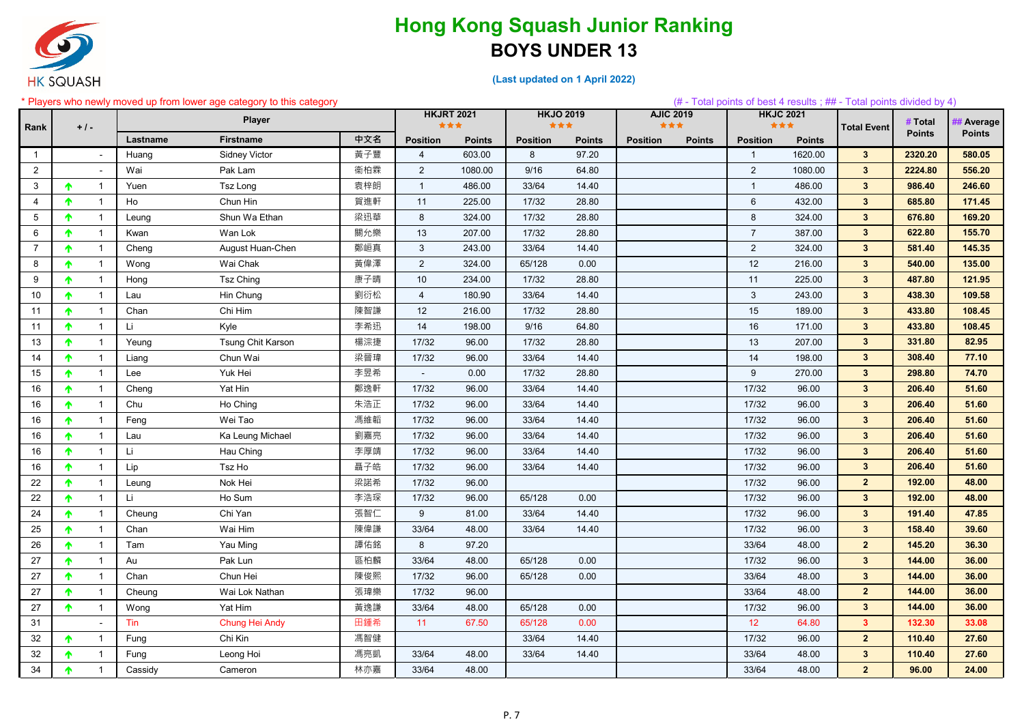

|                 |                                 |          | Players who newly moved up from lower age category to this category |     |                          |               |                         |               |                         |               |                 |                         | $(\#$ - Total points of best 4 results; ## - Total points divided by 4) |               |                |
|-----------------|---------------------------------|----------|---------------------------------------------------------------------|-----|--------------------------|---------------|-------------------------|---------------|-------------------------|---------------|-----------------|-------------------------|-------------------------------------------------------------------------|---------------|----------------|
| Rank            | $+1-$                           |          | Player                                                              |     | <b>HKJRT 2021</b><br>*** |               | <b>HKJO 2019</b><br>*** |               | <b>AJIC 2019</b><br>*** |               |                 | <b>HKJC 2021</b><br>*** | <b>Total Event</b>                                                      | # Total       | <b>Average</b> |
|                 |                                 | Lastname | <b>Firstname</b>                                                    | 中文名 | <b>Position</b>          | <b>Points</b> | <b>Position</b>         | <b>Points</b> | <b>Position</b>         | <b>Points</b> | <b>Position</b> | <b>Points</b>           |                                                                         | <b>Points</b> | <b>Points</b>  |
| $\mathbf{1}$    | $\sim$                          | Huang    | <b>Sidney Victor</b>                                                | 黃子豐 | $\overline{4}$           | 603.00        | 8                       | 97.20         |                         |               |                 | 1620.00                 | $3\phantom{.0}$                                                         | 2320.20       | 580.05         |
| $\overline{2}$  | $\blacksquare$                  | Wai      | Pak Lam                                                             | 衞柏霖 | $\overline{2}$           | 1080.00       | 9/16                    | 64.80         |                         |               | $\overline{2}$  | 1080.00                 | $3\phantom{a}$                                                          | 2224.80       | 556.20         |
| 3               | $\mathbf{1}$                    | Yuen     | Tsz Long                                                            | 袁梓朗 | $\overline{1}$           | 486.00        | 33/64                   | 14.40         |                         |               |                 | 486.00                  | $3\phantom{a}$                                                          | 986.40        | 246.60         |
| 4               | $\mathbf{1}$<br>♠               | Ho       | Chun Hin                                                            | 賀進軒 | 11                       | 225.00        | 17/32                   | 28.80         |                         |               | 6               | 432.00                  | $3\phantom{.0}$                                                         | 685.80        | 171.45         |
| 5               | $\mathbf{1}$<br>↑               | Leung    | Shun Wa Ethan                                                       | 梁迅華 | 8                        | 324.00        | 17/32                   | 28.80         |                         |               | 8               | 324.00                  | $3\overline{3}$                                                         | 676.80        | 169.20         |
| 6               | $\mathbf{1}$                    | Kwan     | Wan Lok                                                             | 關允樂 | 13                       | 207.00        | 17/32                   | 28.80         |                         |               |                 | 387.00                  | $3\phantom{a}$                                                          | 622.80        | 155.70         |
| $\overline{7}$  | $\mathbf{1}$<br>♠               | Cheng    | August Huan-Chen                                                    | 鄭峘真 | 3                        | 243.00        | 33/64                   | 14.40         |                         |               | $\overline{2}$  | 324.00                  | $\mathbf{3}$                                                            | 581.40        | 145.35         |
| 8               | $\mathbf{1}$                    | Wong     | Wai Chak                                                            | 黃偉澤 | 2                        | 324.00        | 65/128                  | 0.00          |                         |               | 12              | 216.00                  | $\mathbf{3}$                                                            | 540.00        | 135.00         |
| 9               | $\mathbf{1}$<br>́↑              | Hong     | <b>Tsz Ching</b>                                                    | 康子晴 | 10                       | 234.00        | 17/32                   | 28.80         |                         |               | 11              | 225.00                  | $3\phantom{.0}$                                                         | 487.80        | 121.95         |
| 10 <sup>°</sup> | $\mathbf{1}$<br>$\bullet$       | Lau      | Hin Chung                                                           | 劉衍松 | $\overline{4}$           | 180.90        | 33/64                   | 14.40         |                         |               | 3               | 243.00                  | $3\phantom{.0}$                                                         | 438.30        | 109.58         |
| 11              | $\mathbf{1}$<br>́↑              | Chan     | Chi Him                                                             | 陳智謙 | 12                       | 216.00        | 17/32                   | 28.80         |                         |               | 15              | 189.00                  | $3\phantom{.0}$                                                         | 433.80        | 108.45         |
| 11              | $\mathbf{1}$<br>↑               | Li       | Kyle                                                                | 李希迅 | 14                       | 198.00        | 9/16                    | 64.80         |                         |               | 16              | 171.00                  | $3\phantom{a}$                                                          | 433.80        | 108.45         |
| 13              | $\mathbf{1}$                    | Yeung    | Tsung Chit Karson                                                   | 楊淙捷 | 17/32                    | 96.00         | 17/32                   | 28.80         |                         |               | 13              | 207.00                  | $3\phantom{.0}$                                                         | 331.80        | 82.95          |
| 14              | $\overline{1}$<br>♠             | Liang    | Chun Wai                                                            | 梁晉瑋 | 17/32                    | 96.00         | 33/64                   | 14.40         |                         |               | 14              | 198.00                  | $3\phantom{a}$                                                          | 308.40        | 77.10          |
| 15              | $\mathbf 1$                     | Lee      | Yuk Hei                                                             | 李昱希 |                          | 0.00          | 17/32                   | 28.80         |                         |               | 9               | 270.00                  | $3\phantom{a}$                                                          | 298.80        | 74.70          |
| 16              | $\mathbf{1}$                    | Cheng    | Yat Hin                                                             | 鄭逸軒 | 17/32                    | 96.00         | 33/64                   | 14.40         |                         |               | 17/32           | 96.00                   | $3\phantom{.0}$                                                         | 206.40        | 51.60          |
| 16              | $\mathbf{1}$<br>́↑              | Chu      | Ho Ching                                                            | 朱浩正 | 17/32                    | 96.00         | 33/64                   | 14.40         |                         |               | 17/32           | 96.00                   | $3\phantom{.0}$                                                         | 206.40        | 51.60          |
| 16              | $\mathbf{1}$                    | Feng     | Wei Tao                                                             | 馮維韜 | 17/32                    | 96.00         | 33/64                   | 14.40         |                         |               | 17/32           | 96.00                   | $3\phantom{.0}$                                                         | 206.40        | 51.60          |
| 16              | $\mathbf{1}$<br>↑               | Lau      | Ka Leung Michael                                                    | 劉嘉亮 | 17/32                    | 96.00         | 33/64                   | 14.40         |                         |               | 17/32           | 96.00                   | $\mathbf{3}$                                                            | 206.40        | 51.60          |
| 16              | 1                               | Li.      | Hau Ching                                                           | 李厚靖 | 17/32                    | 96.00         | 33/64                   | 14.40         |                         |               | 17/32           | 96.00                   | $3\phantom{.0}$                                                         | 206.40        | 51.60          |
| 16              | $\mathbf{1}$                    | Lip      | Tsz Ho                                                              | 聶子皓 | 17/32                    | 96.00         | 33/64                   | 14.40         |                         |               | 17/32           | 96.00                   | $3\phantom{.0}$                                                         | 206.40        | 51.60          |
| 22              | $\mathbf 1$                     | Leung    | Nok Hei                                                             | 梁諾希 | 17/32                    | 96.00         |                         |               |                         |               | 17/32           | 96.00                   | 2 <sub>2</sub>                                                          | 192.00        | 48.00          |
| 22              | $\mathbf{1}$<br>♠               | Li       | Ho Sum                                                              | 李浩琛 | 17/32                    | 96.00         | 65/128                  | 0.00          |                         |               | 17/32           | 96.00                   | $3\phantom{.0}$                                                         | 192.00        | 48.00          |
| 24              | $\mathbf{1}$<br>T.              | Cheung   | Chi Yan                                                             | 張智仁 | 9                        | 81.00         | 33/64                   | 14.40         |                         |               | 17/32           | 96.00                   | $3\phantom{.0}$                                                         | 191.40        | 47.85          |
| 25              | $\mathbf{1}$                    | Chan     | Wai Him                                                             | 陳偉謙 | 33/64                    | 48.00         | 33/64                   | 14.40         |                         |               | 17/32           | 96.00                   | $3\phantom{a}$                                                          | 158.40        | 39.60          |
| 26              | ↑<br>$\mathbf 1$                | Tam      | Yau Ming                                                            | 譚佑銘 | 8                        | 97.20         |                         |               |                         |               | 33/64           | 48.00                   | 2 <sup>2</sup>                                                          | 145.20        | 36.30          |
| 27              | $\mathbf{1}$<br>T.              | Au       | Pak Lun                                                             | 區柏麟 | 33/64                    | 48.00         | 65/128                  | 0.00          |                         |               | 17/32           | 96.00                   | $3^{\circ}$                                                             | 144.00        | 36.00          |
| 27              | $\overline{1}$<br>♠             | Chan     | Chun Hei                                                            | 陳俊熙 | 17/32                    | 96.00         | 65/128                  | 0.00          |                         |               | 33/64           | 48.00                   | $3\phantom{.0}$                                                         | 144.00        | 36.00          |
| 27              | 个<br>$\mathbf{1}$               | Cheung   | Wai Lok Nathan                                                      | 張瑋樂 | 17/32                    | 96.00         |                         |               |                         |               | 33/64           | 48.00                   | $\mathbf{2}$                                                            | 144.00        | 36.00          |
| 27              | $\mathbf{1}$<br>$\bullet$       | Wong     | Yat Him                                                             | 黃逸謙 | 33/64                    | 48.00         | 65/128                  | 0.00          |                         |               | 17/32           | 96.00                   | $3\phantom{a}$                                                          | 144.00        | 36.00          |
| 31              | $\blacksquare$                  | Tin      | Chung Hei Andy                                                      | 田鍾希 | 11                       | 67.50         | 65/128                  | 0.00          |                         |               | 12 <sup>°</sup> | 64.80                   | 3 <sup>1</sup>                                                          | 132.30        | 33.08          |
| 32              | $\overline{1}$<br>ᠰ             | Fung     | Chi Kin                                                             | 馮智健 |                          |               | 33/64                   | 14.40         |                         |               | 17/32           | 96.00                   | $\overline{2}$                                                          | 110.40        | 27.60          |
| 32              | $\mathbf{1}$<br>$\blacklozenge$ | Fung     | Leong Hoi                                                           | 馮亮凱 | 33/64                    | 48.00         | 33/64                   | 14.40         |                         |               | 33/64           | 48.00                   | $3\phantom{.0}$                                                         | 110.40        | 27.60          |
| 34              | $\mathbf{1}$<br>Ϋ.              | Cassidy  | Cameron                                                             | 林亦嘉 | 33/64                    | 48.00         |                         |               |                         |               | 33/64           | 48.00                   | $\overline{2}$                                                          | 96.00         | 24.00          |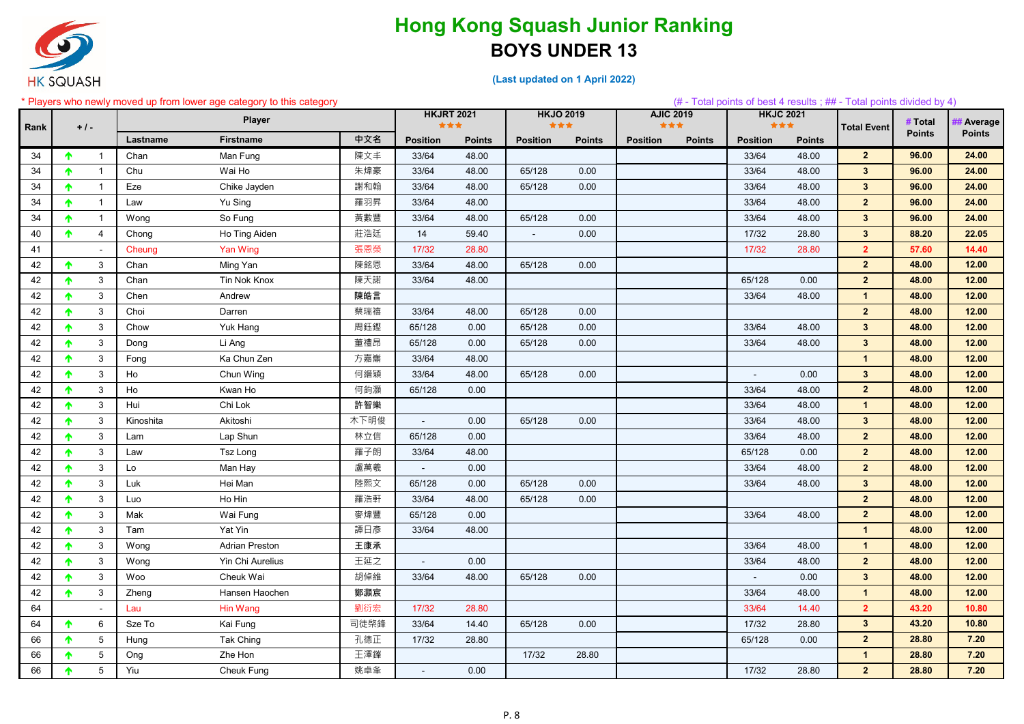

|      |                                 |           | Players who newly moved up from lower age category to this category |      |                 |                   |                         |               |                 |                         |                         |               | $(\#$ - Total points of best 4 results; ## - Total points divided by 4) |               |               |
|------|---------------------------------|-----------|---------------------------------------------------------------------|------|-----------------|-------------------|-------------------------|---------------|-----------------|-------------------------|-------------------------|---------------|-------------------------------------------------------------------------|---------------|---------------|
| Rank | $+1-$                           |           | <b>Player</b>                                                       |      | ***             | <b>HKJRT 2021</b> | <b>HKJO 2019</b><br>*** |               |                 | <b>AJIC 2019</b><br>*** | <b>HKJC 2021</b><br>*** |               | <b>Total Event</b>                                                      | # Total       | # Average     |
|      |                                 | Lastname  | <b>Firstname</b>                                                    | 中文名  | <b>Position</b> | <b>Points</b>     | <b>Position</b>         | <b>Points</b> | <b>Position</b> | <b>Points</b>           | <b>Position</b>         | <b>Points</b> |                                                                         | <b>Points</b> | <b>Points</b> |
| 34   | $\overline{1}$<br>$\bullet$     | Chan      | Man Fung                                                            | 陳文丰  | 33/64           | 48.00             |                         |               |                 |                         | 33/64                   | 48.00         | $2\overline{ }$                                                         | 96.00         | 24.00         |
| 34   | ↑                               | Chu       | Wai Ho                                                              | 朱煒豪  | 33/64           | 48.00             | 65/128                  | 0.00          |                 |                         | 33/64                   | 48.00         | $3\phantom{a}$                                                          | 96.00         | 24.00         |
| 34   | <b>T</b>                        | Eze       | Chike Jayden                                                        | 謝和翰  | 33/64           | 48.00             | 65/128                  | 0.00          |                 |                         | 33/64                   | 48.00         | $3\phantom{a}$                                                          | 96.00         | 24.00         |
| 34   | <b>T</b>                        | Law       | Yu Sing                                                             | 羅羽昇  | 33/64           | 48.00             |                         |               |                 |                         | 33/64                   | 48.00         | $\overline{2}$                                                          | 96.00         | 24.00         |
| 34   | $\mathbf{1}$<br>↑               | Wong      | So Fung                                                             | 黃數豐  | 33/64           | 48.00             | 65/128                  | 0.00          |                 |                         | 33/64                   | 48.00         | $3\phantom{a}$                                                          | 96.00         | 24.00         |
| 40   | $\overline{4}$<br><b>T</b>      | Chong     | Ho Ting Aiden                                                       | 莊浩廷  | 14              | 59.40             | $\sim$                  | 0.00          |                 |                         | 17/32                   | 28.80         | $3\phantom{a}$                                                          | 88.20         | 22.05         |
| 41   | $\sim$                          | Cheung    | <b>Yan Wing</b>                                                     | 張恩榮  | 17/32           | 28.80             |                         |               |                 |                         | 17/32                   | 28.80         | 2 <sup>2</sup>                                                          | 57.60         | 14.40         |
| 42   | $\mathbf{3}$                    | Chan      | Ming Yan                                                            | 陳銘恩  | 33/64           | 48.00             | 65/128                  | 0.00          |                 |                         |                         |               | 2 <sup>2</sup>                                                          | 48.00         | 12.00         |
| 42   | $\mathbf{3}$<br>$\blacklozenge$ | Chan      | Tin Nok Knox                                                        | 陳天諾  | 33/64           | 48.00             |                         |               |                 |                         | 65/128                  | 0.00          | $\overline{2}$                                                          | 48.00         | 12.00         |
| 42   | $\mathbf{3}$                    | Chen      | Andrew                                                              | 陳皓言  |                 |                   |                         |               |                 |                         | 33/64                   | 48.00         | $\mathbf{1}$                                                            | 48.00         | 12.00         |
| 42   | $\mathbf{3}$                    | Choi      | Darren                                                              | 蔡瑞禧  | 33/64           | 48.00             | 65/128                  | 0.00          |                 |                         |                         |               | $\overline{2}$                                                          | 48.00         | 12.00         |
| 42   | $\mathbf{3}$                    | Chow      | Yuk Hang                                                            | 周鈺鏗  | 65/128          | 0.00              | 65/128                  | 0.00          |                 |                         | 33/64                   | 48.00         | $3\phantom{.0}$                                                         | 48.00         | 12.00         |
| 42   | $\mathbf{3}$                    | Dong      | Li Ang                                                              | 董禮昂  | 65/128          | 0.00              | 65/128                  | 0.00          |                 |                         | 33/64                   | 48.00         | $3\phantom{a}$                                                          | 48.00         | 12.00         |
| 42   | $\mathbf{3}$                    | Fong      | Ka Chun Zen                                                         | 方嘉雟  | 33/64           | 48.00             |                         |               |                 |                         |                         |               | $\blacktriangleleft$                                                    | 48.00         | 12.00         |
| 42   | $\mathbf{3}$                    | Ho        | Chun Wing                                                           | 何縉穎  | 33/64           | 48.00             | 65/128                  | 0.00          |                 |                         |                         | 0.00          | $3\phantom{a}$                                                          | 48.00         | 12.00         |
| 42   | $\mathbf{3}$<br>^               | Ho        | Kwan Ho                                                             | 何鈞灝  | 65/128          | 0.00              |                         |               |                 |                         | 33/64                   | 48.00         | $\overline{2}$                                                          | 48.00         | 12.00         |
| 42   | $\mathbf{3}$                    | Hui       | Chi Lok                                                             | 許智樂  |                 |                   |                         |               |                 |                         | 33/64                   | 48.00         | $\overline{1}$                                                          | 48.00         | 12.00         |
| 42   | 3                               | Kinoshita | Akitoshi                                                            | 木下明俊 |                 | 0.00              | 65/128                  | 0.00          |                 |                         | 33/64                   | 48.00         | $3\phantom{.0}$                                                         | 48.00         | 12.00         |
| 42   | $\mathbf{3}$                    | Lam       | Lap Shun                                                            | 林立信  | 65/128          | 0.00              |                         |               |                 |                         | 33/64                   | 48.00         | $\overline{2}$                                                          | 48.00         | 12.00         |
| 42   | 3                               | Law       | <b>Tsz Long</b>                                                     | 羅子朗  | 33/64           | 48.00             |                         |               |                 |                         | 65/128                  | 0.00          | $2\overline{ }$                                                         | 48.00         | 12.00         |
| 42   | $\mathbf{3}$                    | Lo        | Man Hay                                                             | 盧萬羲  | $\blacksquare$  | 0.00              |                         |               |                 |                         | 33/64                   | 48.00         | $2\overline{ }$                                                         | 48.00         | 12.00         |
| 42   | $\mathbf{3}$                    | Luk       | Hei Man                                                             | 陸熙文  | 65/128          | 0.00              | 65/128                  | 0.00          |                 |                         | 33/64                   | 48.00         | $3\phantom{a}$                                                          | 48.00         | 12.00         |
| 42   | $\mathbf{3}$                    | Luo       | Ho Hin                                                              | 羅浩軒  | 33/64           | 48.00             | 65/128                  | 0.00          |                 |                         |                         |               | $\overline{2}$                                                          | 48.00         | 12.00         |
| 42   | $\mathbf{3}$                    | Mak       | Wai Fung                                                            | 麥煒豐  | 65/128          | 0.00              |                         |               |                 |                         | 33/64                   | 48.00         | $2\overline{ }$                                                         | 48.00         | 12.00         |
| 42   | $\mathbf{3}$                    | Tam       | Yat Yin                                                             | 譚日彥  | 33/64           | 48.00             |                         |               |                 |                         |                         |               | $\mathbf{1}$                                                            | 48.00         | 12.00         |
| 42   | 3<br>$\blacklozenge$            | Wong      | <b>Adrian Preston</b>                                               | 王康承  |                 |                   |                         |               |                 |                         | 33/64                   | 48.00         | $\mathbf{1}$                                                            | 48.00         | 12.00         |
| 42   | $\mathbf{3}$<br>$\blacklozenge$ | Wong      | Yin Chi Aurelius                                                    | 王延之  | $\blacksquare$  | 0.00              |                         |               |                 |                         | 33/64                   | 48.00         | $\overline{2}$                                                          | 48.00         | 12.00         |
| 42   | $\mathbf{3}$<br>$\blacklozenge$ | Woo       | Cheuk Wai                                                           | 胡倬維  | 33/64           | 48.00             | 65/128                  | 0.00          |                 |                         |                         | 0.00          | $3\phantom{a}$                                                          | 48.00         | 12.00         |
| 42   | $\mathbf{3}$<br>$\blacklozenge$ | Zheng     | Hansen Haochen                                                      | 鄭灝宸  |                 |                   |                         |               |                 |                         | 33/64                   | 48.00         | $\mathbf{1}$                                                            | 48.00         | 12.00         |
| 64   | $\blacksquare$                  | Lau       | Hin Wang                                                            | 劉衍宏  | 17/32           | 28.80             |                         |               |                 |                         | 33/64                   | 14.40         | 2 <sup>1</sup>                                                          | 43.20         | 10.80         |
| 64   | 6<br>$\blacklozenge$            | Sze To    | Kai Fung                                                            | 司徒棨鋒 | 33/64           | 14.40             | 65/128                  | 0.00          |                 |                         | 17/32                   | 28.80         | $3\phantom{.0}$                                                         | 43.20         | 10.80         |
| 66   | $5\overline{)}$                 | Hung      | Tak Ching                                                           | 孔德正  | 17/32           | 28.80             |                         |               |                 |                         | 65/128                  | 0.00          | $2\overline{ }$                                                         | 28.80         | 7.20          |
| 66   | $5\overline{)}$<br>↑            | Ong       | Zhe Hon                                                             | 王澤鎽  |                 |                   | 17/32                   | 28.80         |                 |                         |                         |               | $\mathbf{1}$                                                            | 28.80         | 7.20          |
| 66   | $5\phantom{.0}$<br>↑            | Yiu       | Cheuk Fung                                                          | 姚卓夆  | $\blacksquare$  | 0.00              |                         |               |                 |                         | 17/32                   | 28.80         | $2\overline{ }$                                                         | 28.80         | 7.20          |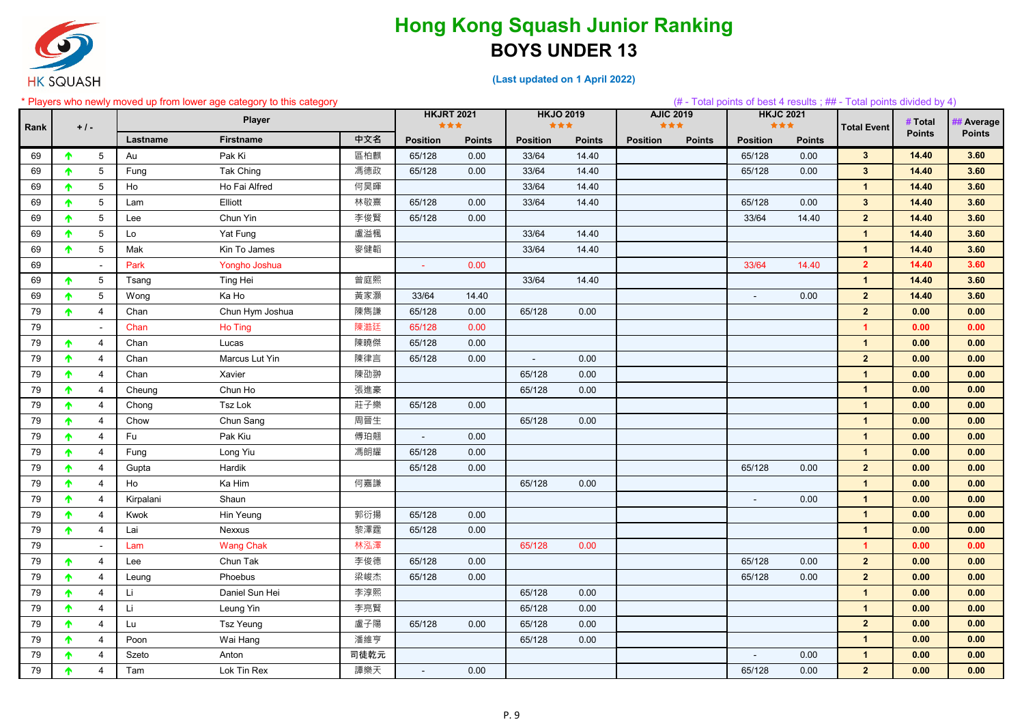

|      |                             |           | * Players who newly moved up from lower age category to this category |      |                   |               |                         |               |                         |               |                         |               | (# - Total points of best 4 results; ## - Total points divided by 4) |               |                |
|------|-----------------------------|-----------|-----------------------------------------------------------------------|------|-------------------|---------------|-------------------------|---------------|-------------------------|---------------|-------------------------|---------------|----------------------------------------------------------------------|---------------|----------------|
| Rank | $+$ / -                     |           | <b>Player</b>                                                         |      | <b>HKJRT 2021</b> | ***           | <b>HKJO 2019</b><br>*** |               | <b>AJIC 2019</b><br>*** |               | <b>HKJC 2021</b><br>*** |               | <b>Total Event</b>                                                   | # Total       | <b>Average</b> |
|      |                             | Lastname  | <b>Firstname</b>                                                      | 中文名  | <b>Position</b>   | <b>Points</b> | <b>Position</b>         | <b>Points</b> | <b>Position</b>         | <b>Points</b> | <b>Position</b>         | <b>Points</b> |                                                                      | <b>Points</b> | <b>Points</b>  |
| 69   | $5\overline{)}$             | Au        | Pak Ki                                                                | 區柏麒  | 65/128            | 0.00          | 33/64                   | 14.40         |                         |               | 65/128                  | 0.00          | $3\phantom{a}$                                                       | 14.40         | 3.60           |
| 69   | $5\phantom{.0}$<br>↑        | Fung      | Tak Ching                                                             | 馮德政  | 65/128            | 0.00          | 33/64                   | 14.40         |                         |               | 65/128                  | 0.00          | $3\phantom{a}$                                                       | 14.40         | 3.60           |
| 69   | $5\overline{)}$             | Ho        | Ho Fai Alfred                                                         | 何昊暉  |                   |               | 33/64                   | 14.40         |                         |               |                         |               | $\mathbf{1}$                                                         | 14.40         | 3.60           |
| 69   | $5\overline{)}$<br>↑        | Lam       | Elliott                                                               | 林敬熹  | 65/128            | 0.00          | 33/64                   | 14.40         |                         |               | 65/128                  | 0.00          | $\mathbf{3}$                                                         | 14.40         | 3.60           |
| 69   | $5\overline{)}$<br>↑        | Lee       | Chun Yin                                                              | 李俊賢  | 65/128            | 0.00          |                         |               |                         |               | 33/64                   | 14.40         | $\overline{2}$                                                       | 14.40         | 3.60           |
| 69   | 5 <sup>5</sup>              | Lo        | Yat Fung                                                              | 盧溢楓  |                   |               | 33/64                   | 14.40         |                         |               |                         |               | $\blacktriangleleft$                                                 | 14.40         | 3.60           |
| 69   | $5\phantom{.0}$<br>↑        | Mak       | Kin To James                                                          | 麥健韜  |                   |               | 33/64                   | 14.40         |                         |               |                         |               | $\overline{1}$                                                       | 14.40         | 3.60           |
| 69   | $\blacksquare$              | Park      | Yongho Joshua                                                         |      | $\sim$            | 0.00          |                         |               |                         |               | 33/64                   | 14.40         | $\overline{2}$                                                       | 14.40         | 3.60           |
| 69   | $5\overline{)}$<br>个        | Tsang     | Ting Hei                                                              | 曾庭熙  |                   |               | 33/64                   | 14.40         |                         |               |                         |               | $\mathbf{1}$                                                         | 14.40         | 3.60           |
| 69   | $5\phantom{.0}$<br>T.       | Wong      | Ka Ho                                                                 | 黃家灝  | 33/64             | 14.40         |                         |               |                         |               | $\blacksquare$          | 0.00          | $\overline{2}$                                                       | 14.40         | 3.60           |
| 79   | $\overline{4}$<br>个         | Chan      | Chun Hym Joshua                                                       | 陳雋謙  | 65/128            | 0.00          | 65/128                  | 0.00          |                         |               |                         |               | $\overline{2}$                                                       | 0.00          | 0.00           |
| 79   | $\sim$                      | Chan      | Ho Ting                                                               | 陳澔廷  | 65/128            | 0.00          |                         |               |                         |               |                         |               | $\blacktriangleleft$                                                 | 0.00          | 0.00           |
| 79   | $\overline{4}$              | Chan      | Lucas                                                                 | 陳曉傑  | 65/128            | 0.00          |                         |               |                         |               |                         |               | $\mathbf{1}$                                                         | 0.00          | 0.00           |
| 79   | $\overline{4}$<br>♠         | Chan      | Marcus Lut Yin                                                        | 陳律言  | 65/128            | 0.00          | $\blacksquare$          | 0.00          |                         |               |                         |               | $\overline{2}$                                                       | 0.00          | 0.00           |
| 79   | $\overline{4}$<br>↑         | Chan      | Xavier                                                                | 陳劭翀  |                   |               | 65/128                  | 0.00          |                         |               |                         |               | $\mathbf{1}$                                                         | 0.00          | 0.00           |
| 79   | $\overline{4}$<br>♠         | Cheung    | Chun Ho                                                               | 張進豪  |                   |               | 65/128                  | 0.00          |                         |               |                         |               | $\blacktriangleleft$                                                 | 0.00          | 0.00           |
| 79   | $\overline{4}$<br>↑         | Chong     | Tsz Lok                                                               | 莊子樂  | 65/128            | 0.00          |                         |               |                         |               |                         |               | $\mathbf{1}$                                                         | 0.00          | 0.00           |
| 79   | $\overline{4}$<br>↑         | Chow      | Chun Sang                                                             | 周晉生  |                   |               | 65/128                  | 0.00          |                         |               |                         |               | $\mathbf{1}$                                                         | 0.00          | 0.00           |
| 79   | $\overline{4}$<br>♠         | Fu        | Pak Kiu                                                               | 傅珀翹  | $\blacksquare$    | 0.00          |                         |               |                         |               |                         |               | $\overline{1}$                                                       | 0.00          | 0.00           |
| 79   | 4                           | Fung      | Long Yiu                                                              | 馮朗耀  | 65/128            | 0.00          |                         |               |                         |               |                         |               | $\overline{1}$                                                       | 0.00          | 0.00           |
| 79   | $\overline{4}$<br>♠         | Gupta     | Hardik                                                                |      | 65/128            | 0.00          |                         |               |                         |               | 65/128                  | 0.00          | $\overline{2}$                                                       | 0.00          | 0.00           |
| 79   | $\overline{4}$              | Ho        | Ka Him                                                                | 何嘉謙  |                   |               | 65/128                  | 0.00          |                         |               |                         |               | $\mathbf{1}$                                                         | 0.00          | 0.00           |
| 79   | $\overline{4}$              | Kirpalani | Shaun                                                                 |      |                   |               |                         |               |                         |               |                         | 0.00          | $\mathbf{1}$                                                         | 0.00          | 0.00           |
| 79   | $\overline{4}$<br>↑         | Kwok      | Hin Yeung                                                             | 郭衍揚  | 65/128            | 0.00          |                         |               |                         |               |                         |               | $\mathbf{1}$                                                         | 0.00          | 0.00           |
| 79   | $\overline{4}$<br>↑         | Lai       | Nexxus                                                                | 黎澤霆  | 65/128            | 0.00          |                         |               |                         |               |                         |               | $\mathbf{1}$                                                         | 0.00          | 0.00           |
| 79   |                             | Lam       | <b>Wang Chak</b>                                                      | 林泓澤  |                   |               | 65/128                  | 0.00          |                         |               |                         |               | $\mathbf{1}$                                                         | 0.00          | 0.00           |
| 79   | $\overline{4}$<br>$\bullet$ | Lee       | Chun Tak                                                              | 李俊德  | 65/128            | 0.00          |                         |               |                         |               | 65/128                  | 0.00          | $\overline{2}$                                                       | 0.00          | 0.00           |
| 79   | $\overline{4}$<br>$\bullet$ | Leung     | Phoebus                                                               | 梁峻杰  | 65/128            | 0.00          |                         |               |                         |               | 65/128                  | 0.00          | $\overline{2}$                                                       | 0.00          | 0.00           |
| 79   | $\overline{4}$<br>T.        | Li        | Daniel Sun Hei                                                        | 李淳熙  |                   |               | 65/128                  | 0.00          |                         |               |                         |               | $\mathbf{1}$                                                         | 0.00          | 0.00           |
| 79   | $\overline{4}$<br>$\bullet$ | Li.       | Leung Yin                                                             | 李亮賢  |                   |               | 65/128                  | 0.00          |                         |               |                         |               | $\overline{1}$                                                       | 0.00          | 0.00           |
| 79   | $\overline{4}$<br>$\bullet$ | Lu        | Tsz Yeung                                                             | 盧子陽  | 65/128            | 0.00          | 65/128                  | 0.00          |                         |               |                         |               | $\overline{2}$                                                       | 0.00          | 0.00           |
| 79   | $\overline{4}$              | Poon      | Wai Hang                                                              | 潘維亨  |                   |               | 65/128                  | 0.00          |                         |               |                         |               | $\mathbf{1}$                                                         | 0.00          | 0.00           |
| 79   | $\overline{4}$<br>$\bullet$ | Szeto     | Anton                                                                 | 司徒乾元 |                   |               |                         |               |                         |               | $\sim$                  | 0.00          | $\mathbf{1}$                                                         | 0.00          | 0.00           |
| 79   | $\overline{4}$<br>$\bullet$ | Tam       | Lok Tin Rex                                                           | 譚樂天  | $\sim$            | 0.00          |                         |               |                         |               | 65/128                  | 0.00          | $\overline{2}$                                                       | 0.00          | 0.00           |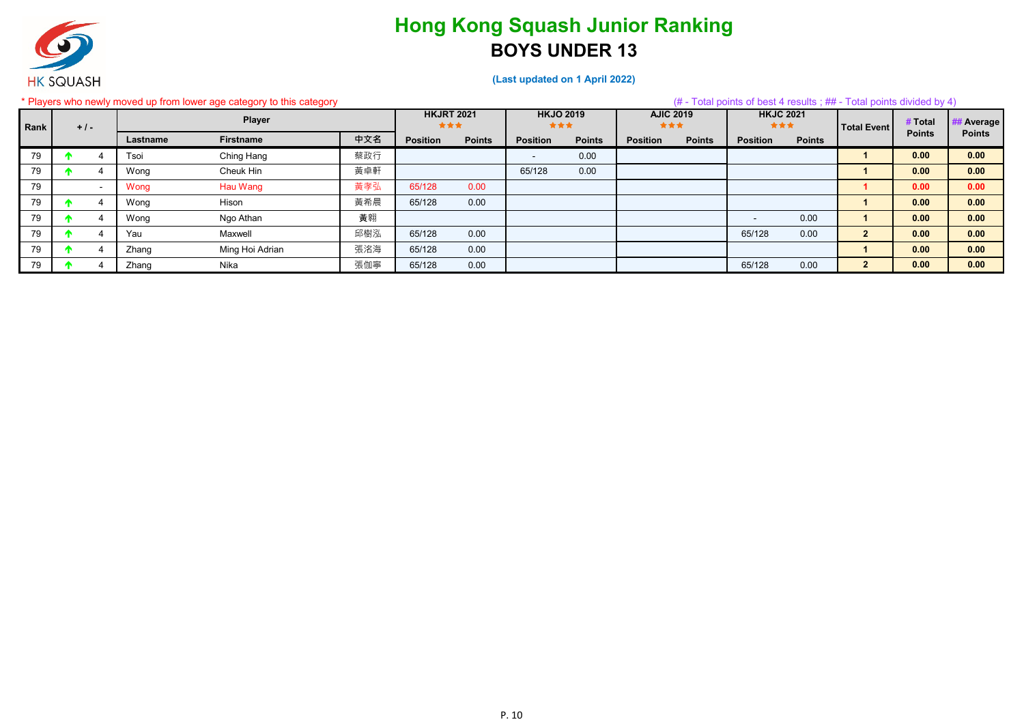

|      |         |                          |          | * Players who newly moved up from lower age category to this category |     |                          |               |                         |               |                         |               | $#$ - Total points of best 4 results; $#$ - Total points divided by 4) |               |                    |               |                  |
|------|---------|--------------------------|----------|-----------------------------------------------------------------------|-----|--------------------------|---------------|-------------------------|---------------|-------------------------|---------------|------------------------------------------------------------------------|---------------|--------------------|---------------|------------------|
| Rank | $+$ / - |                          |          | <b>Player</b>                                                         |     | <b>HKJRT 2021</b><br>*** |               | <b>HKJO 2019</b><br>*** |               | <b>AJIC 2019</b><br>*** |               | <b>HKJC 2021</b><br>***                                                |               | <b>Total Event</b> | # Total       | <b># Average</b> |
|      |         |                          | Lastname | <b>Firstname</b>                                                      | 中文名 | <b>Position</b>          | <b>Points</b> | <b>Position</b>         | <b>Points</b> | <b>Position</b>         | <b>Points</b> | <b>Position</b>                                                        | <b>Points</b> |                    | <b>Points</b> | <b>Points</b>    |
| 79   |         |                          | Tsoi     | Ching Hang                                                            | 蔡政行 |                          |               |                         | 0.00          |                         |               |                                                                        |               |                    | 0.00          | 0.00             |
| 79   |         |                          | Wong     | Cheuk Hin                                                             | 黃卓軒 |                          |               | 65/128                  | 0.00          |                         |               |                                                                        |               |                    | 0.00          | 0.00             |
| 79   |         | $\overline{\phantom{0}}$ | Wong     | Hau Wang                                                              | 黃孝弘 | 65/128                   | 0.00          |                         |               |                         |               |                                                                        |               |                    | 0.00          | 0.00             |
| 79   |         |                          | Wong     | Hison                                                                 | 黃希晨 | 65/128                   | 0.00          |                         |               |                         |               |                                                                        |               |                    | 0.00          | 0.00             |
| 79   |         |                          | Wong     | Ngo Athan                                                             | 黃翱  |                          |               |                         |               |                         |               |                                                                        | 0.00          |                    | 0.00          | 0.00             |
| 79   |         |                          | Yau      | Maxwell                                                               | 邱樹泓 | 65/128                   | 0.00          |                         |               |                         |               | 65/128                                                                 | 0.00          | 2 <sup>2</sup>     | 0.00          | 0.00             |
| 79   |         |                          | Zhang    | Ming Hoi Adrian                                                       | 張洺海 | 65/128                   | 0.00          |                         |               |                         |               |                                                                        |               |                    | 0.00          | 0.00             |
| 79   |         |                          | Zhang    | Nika                                                                  | 張伽寧 | 65/128                   | 0.00          |                         |               |                         |               | 65/128                                                                 | 0.00          | $\overline{2}$     | 0.00          | 0.00             |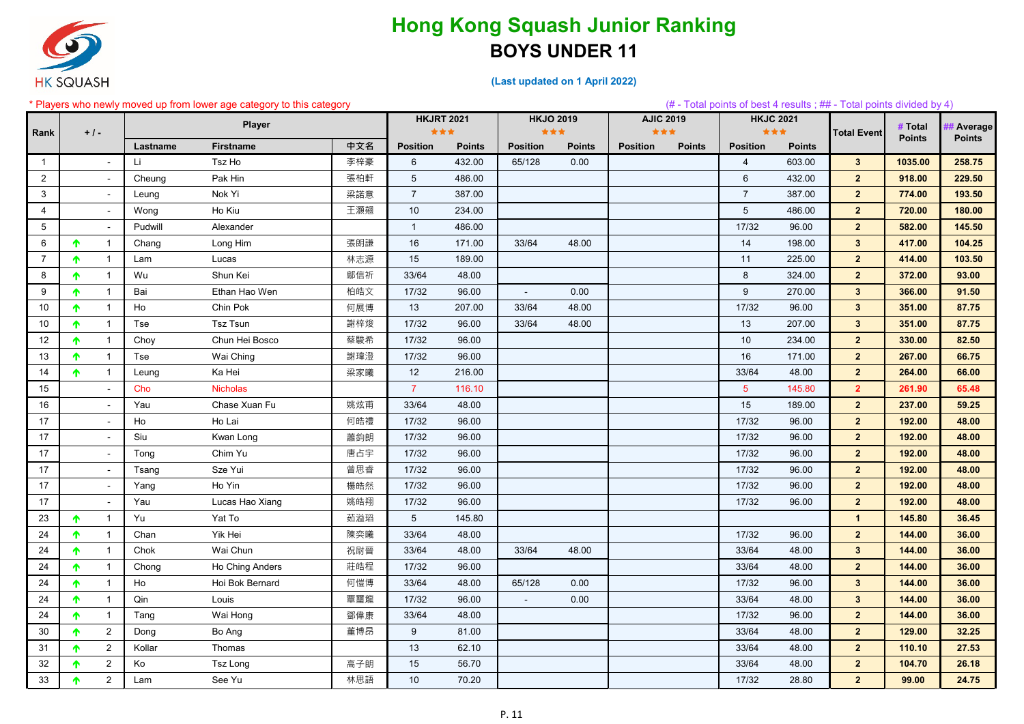

**(Last updated on 1 April 2022)**

#### \* Players who newly moved up from lower age category to this category (# - Total points of best 4 results ; ## - Total points divided by 4) **Lastname Firstname 中文名 Position Points Position Points Position Points Position Points** 1 | - |Li Tsz Ho | 李梓豪 | 6 432.00 | 65/128 0.00 | | 4 603.00 <mark>| 3 | 1035.00 | 258.75</mark> 2 - Cheung Pak Hin 張柏軒 5 486.00 6 432.00 **2 918.00 229.50** 3 - Leung Nok Yi 梁諾意 7 387.00 7 387.00 **2 774.00 193.50** 4 | - |Wong Ho Kiu | 土澱翹 | 10 234.00 | - | - | - | 5 486.00 <mark>| 2 | 720.00 | 180.00</mark> 5 - Pudwill Alexander 1 486.00 17/32 96.00 **2 582.00 145.50** 6 | ↑ 1 | Chang Long Him | 張朗謙 **|** 16 171.00 | 33/64 48.00 | 1**04.25** 7 ┃ <mark>↑</mark> 1 ┃ Lam Lucas ┃ 林志源 ┃ 15 189.00 ┃ 225.00 <mark> 2 ┃ 414.00 ┃ 103.50</mark> 8 | 个 1 | Wu Shun Kei | 鄔信祈 | 33/64 48.00 | 8 324.00 <mark> 2 | 372.00 | 93.00</mark> 9 1 Bai Ethan Hao Wen 柏皓文 17/32 96.00 - 0.00 9 270.00 **3 366.00 91.50** 10 │ 个 1 │ Ho Chin Pok 何展博 13 207.00 │ 33/64 48.00 │ 17/32 96.00 <mark> 3 351.00 87.75</mark> 10 | ↑ 1 | Tse Tsz Tsun 謝梓焌 17/32 96.00 | 33/64 48.00 | 207.00 <mark> 3 | 351.00 87.75</mark> 12 1 Choy Chun Hei Bosco 蔡駿希 17/32 96.00 10 234.00 **2 330.00 82.50** 13 1 Tse Wai Ching 謝瑋澄 17/32 96.00 16 171.00 **2 267.00 66.75** 14 | ↑ 1 | Leung Ka Hei 梁家曦 12 216.00 33/64 48.00 <mark> 2 | 264.00 66.00</mark> 15 - Cho Nicholas 7 116.10 5 145.80 **2 261.90 65.48** 16 - Yau Chase Xuan Fu 姚炫甫 33/64 48.00 15 189.00 **2 237.00 59.25** 17 | - Ho Ho Lai 何皓禮 17/32 96.00 | 17/32 96.00 <mark> 2 | 192.00 48.00</mark> 17 - Siu Kwan Long 蕭鈞朗 17/32 96.00 17/32 96.00 **2 192.00 48.00** 17 | | Tong Chim Yu | 唐占宇 | 17/32 96.00 | | 17/32 96.00 | 2 | **192.00 | 48.00** 17 | - | Tsang Sze Yui 曾思睿 | 17/32 96.00 | 17/32 96.00 <mark>| 2 | 192.00 | 48.00</mark> 17 - Yang Ho Yin 楊皓然 17/32 96.00 17/32 96.00 **2 192.00 48.00** 17 - Yau Lucas Hao Xiang 姚皓翔 17/32 96.00 17/32 96.00 **2 192.00 48.00** 23 1 Yu Yat To 茹溢瑫 5 145.80 **1 145.80 36.45** 24 ┃ <mark>↑</mark> 1 | Chan Yik Hei 陳奕曦 ┃ 33/64 48.00 ┃ 17/32 96.00 <mark> 2 ┃ 144.00 ┃ 36.00</mark> 24 | ↑ 1 | Chok Wai Chun 祝尉晉 33/64 48.00 33/64 48.00 <mark> 3 144.00 36.00</mark> 24 1 Chong Ho Ching Anders 莊皓程 17/32 96.00 33/64 48.00 **2 144.00 36.00** 24 | ↑ 1 | Ho Hoi Bok Bernard 何愷博 33/64 48.00 65/128 0.00 17/32 96.00 <mark> 3 144.00 36.00</mark> 24 1 Qin Louis 覃璽龍 17/32 96.00 - 0.00 33/64 48.00 **3 144.00 36.00** 24 1 Tang Wai Hong 鄧偉康 33/64 48.00 17/32 96.00 **2 144.00 36.00** 30 2 Dong Bo Ang 董博昂 9 81.00 33/64 48.00 **2 129.00 32.25** 31 2 Kollar Thomas 13 62.10 33/64 48.00 **2 110.10 27.53** 32 2 Ko Tsz Long 高子朗 15 56.70 33/64 48.00 **2 104.70 26.18** 33 ┃ **↑** 2 ┃ Lam See Yu 林思語 ┃ 10 70.20 ┃ 17/32 28.80 <mark>┃ 2 ┃ 99.00 ┃ 24.75</mark> **HKJO 2019 AJIC 2019 Total Event** # Total ## Average<br>Points Points **Points HKJRT 2021 HKJC 2021 # Total**  Rank +/- Player Player<br>Points<br>
Points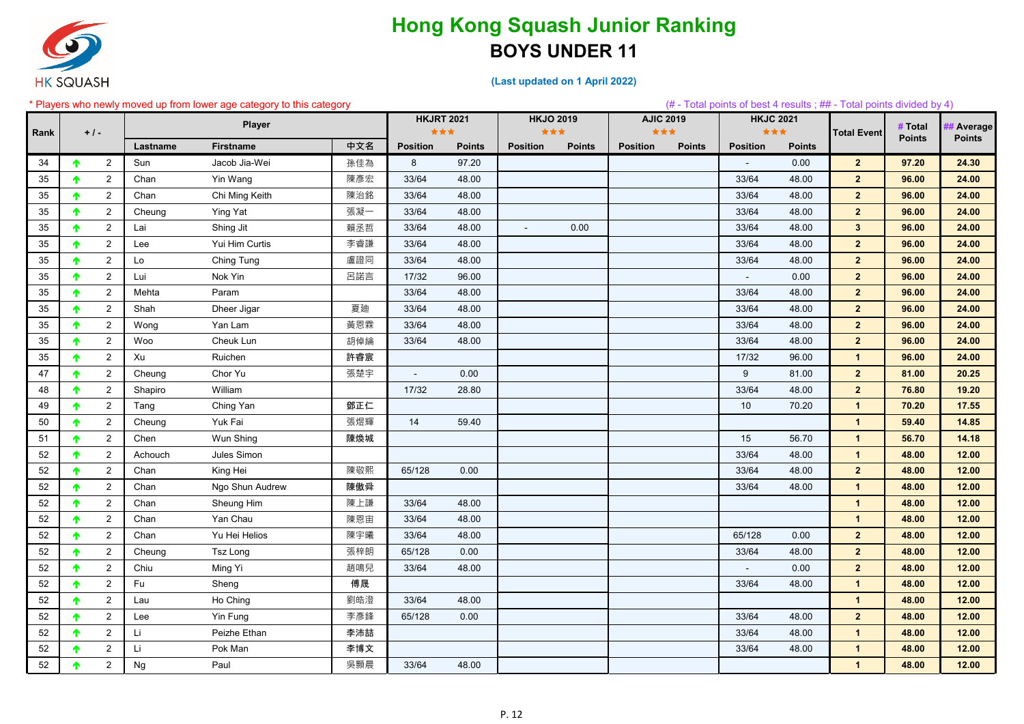

**(Last updated on 1 April 2022)**

#### \* Players who newly moved up from lower age category to this category (# - Total points of best 4 results ; ## - Total points divided by 4) **Lastname Firstname 中文名 Position Points Position Points Position Points Position Points HKJO 2019 AJIC 2019 Total Event** # Total ## Average **Points HKJRT 2021 HKJC 2021 # Total**  Rank +/- Player Player<br>Points<br>
Points 2 Sun Jacob Jia-Wei 孫佳為 8 97.20 - 0.00 **2 97.20 24.30** 2 Chan Yin Wang 陳彥宏 33/64 48.00 33/64 48.00 **2 96.00 24.00** 2 Chan Chi Ming Keith 陳治銘 33/64 48.00 33/64 48.00 **2 96.00 24.00** 2 Cheung Ying Yat 張凝一 33/64 48.00 33/64 48.00 **2 96.00 24.00** 2 Lai Shing Jit 賴丞哲 33/64 48.00 - 0.00 33/64 48.00 **3 96.00 24.00** 2 Lee Yui Him Curtis 李睿謙 33/64 48.00 33/64 48.00 **2 96.00 24.00** 2 Lo Ching Tung 盧證同 33/64 48.00 33/64 48.00 **2 96.00 24.00** 2 Lui Nok Yin 呂諾言 17/32 96.00 - 0.00 **2 96.00 24.00** 2 Mehta Param 33/64 48.00 33/64 48.00 **2 96.00 24.00** 2 Shah Dheer Jigar 夏廸 33/64 48.00 33/64 48.00 **2 96.00 24.00** 2 Wong Yan Lam 黃恩霖 33/64 48.00 33/64 48.00 **2 96.00 24.00** 2 Woo Cheuk Lun 胡倬綸 33/64 48.00 33/64 48.00 **2 96.00 24.00** 2 Xu Ruichen 許睿宸 17/32 96.00 **1 96.00 24.00** 2 Cheung Chor Yu 張楚宇 - 0.00 9 81.00 **2 81.00 20.25** 2 Shapiro William 17/32 28.80 33/64 48.00 **2 76.80 19.20** 2 Tang Ching Yan 鄧正仁 10 70.20 **1 70.20 17.55** 2 Cheung Yuk Fai 張煜輝 14 59.40 **1 59.40 14.85** 2 Chen Wun Shing 陳煥城 15 56.70 **1 56.70 14.18** 2 Achouch Jules Simon 33/64 48.00 **1 48.00 12.00** 2 Chan King Hei 陳敬熙 65/128 0.00 33/64 48.00 **2 48.00 12.00** 2 Chan Ngo Shun Audrew 陳傲舜 33/64 48.00 **1 48.00 12.00** 2 Chan Sheung Him 陳上謙 33/64 48.00 **1 48.00 12.00** 2 Chan Yan Chau 陳恩宙 33/64 48.00 **1 48.00 12.00** 52 ┃ **个** 2 ┃ Chan Yu Hei Helios 陳宇曦 ┃ 33/64 48.00 ┃ 65/128 0.00 <mark> 2 ┃ 48.00 12.00</mark> 2 Cheung Tsz Long 張梓朗 65/128 0.00 33/64 48.00 **2 48.00 12.00** 2 Chiu Ming Yi 趙鳴兒 33/64 48.00 - 0.00 **2 48.00 12.00** 2 Fu Sheng 傅晟 33/64 48.00 **1 48.00 12.00** 2 Lau Ho Ching 劉皓澄 33/64 48.00 **1 48.00 12.00** 2 Lee Yin Fung 李彥鋒 65/128 0.00 33/64 48.00 **2 48.00 12.00** 2 Li Peizhe Ethan 李沛喆 33/64 48.00 **1 48.00 12.00** 2 Li Pok Man 李博文 33/64 48.00 **1 48.00 12.00** 2 Ng Paul 吳顥晨 33/64 48.00 **1 48.00 12.00**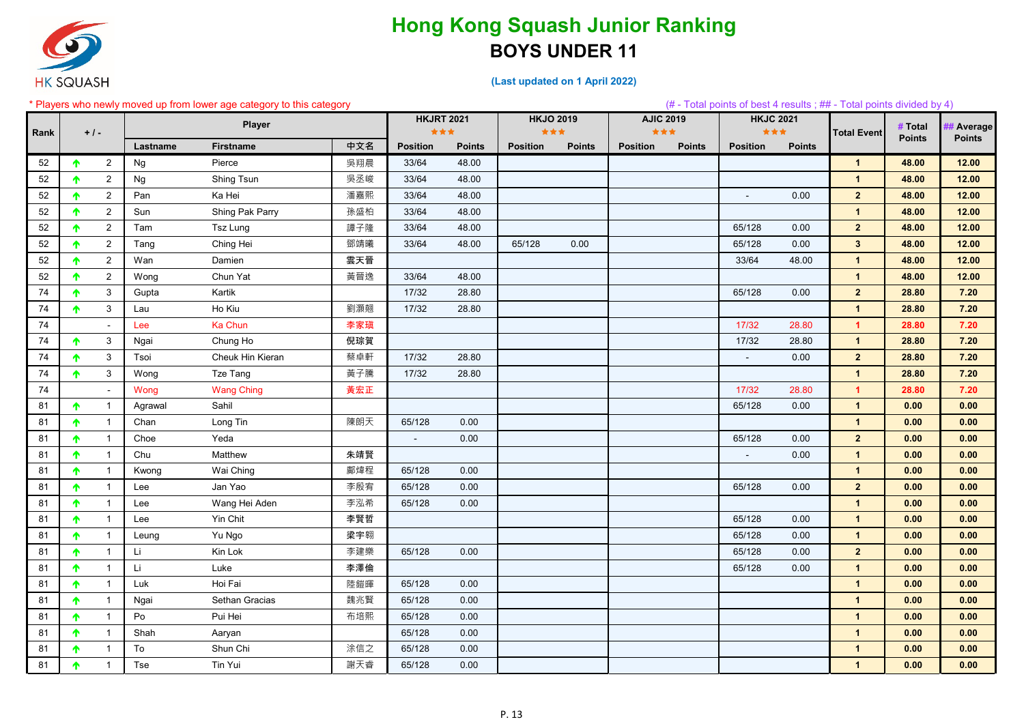

**(Last updated on 1 April 2022)**

#### \* Players who newly moved up from lower age category to this category (# - Total points of best 4 results ; ## - Total points divided by 4) **Lastname Firstname 中文名 Position Points Position Points Position Points Position Points HKJO 2019 AJIC 2019 Total Event** # Total ## Average **Points HKJRT 2021 HKJC 2021 # Total**  Rank +/- Player Player<br>Points<br>
Points 52 2 Ng Pierce 吳翔晨 33/64 48.00 **1 48.00 12.00** 52 2 Ng Shing Tsun 吳丞峻 33/64 48.00 **1 48.00 12.00** 52 2 Pan Ka Hei 潘嘉熙 33/64 48.00 - 0.00 **2 48.00 12.00** 52 2 Sun Shing Pak Parry 孫盛柏 33/64 48.00 **1 48.00 12.00** 52 ┃ <mark>↑</mark> 2 ┃ Tam Tsz Lung 83/64 48.00 ┃ 65/128 0.00 <mark> 2 ┃ 48.00 12.00</mark> 52 | ↑ 2 | Tang Ching Hei 鄧靖曦 33/64 48.00 | 65/128 0.00 | 1**2.00** 52 2 Wan Damien 雲天晉 33/64 48.00 **1 48.00 12.00** 52 2 Wong Chun Yat 黃晉逸 33/64 48.00 **1 48.00 12.00** 74 3 Gupta Kartik 17/32 28.80 65/128 0.00 **2 28.80 7.20** 74 3 Lau Ho Kiu 劉灝翹 17/32 28.80 **1 28.80 7.20** 74 - Lee Ka Chun 李家瑱 17/32 28.80 **1 28.80 7.20** 74 3 Ngai Chung Ho 倪琮賀 17/32 28.80 **1 28.80 7.20** 74 3 Tsoi Cheuk Hin Kieran 蔡卓軒 17/32 28.80 - 0.00 **2 28.80 7.20** 74 3 Wong Tze Tang 黃子騰 17/32 28.80 **1 28.80 7.20** 74 - Wong Wang Ching 黃宏正 17/32 28.80 **1 28.80 7.20** 81 1 Agrawal Sahil 65/128 0.00 **1 0.00 0.00** 81 1 Chan Long Tin 陳朗天 65/128 0.00 **1 0.00 0.00** 81 1 Choe Yeda - 0.00 65/128 0.00 **2 0.00 0.00** 81 1 Chu Matthew 朱靖賢 - 0.00 **1 0.00 0.00** 81 1 Kwong Wai Ching 鄺煒程 65/128 0.00 **1 0.00 0.00** 81 ┃ 个 1 | Lee Jan Yao 李殷宥 65/128 0.00 ┃ 65/128 0.00 <mark> 2 ┃ 0.00 0.00</mark> 81 1 Lee Wang Hei Aden 李泓希 65/128 0.00 **1 0.00 0.00** 81 ┃ <mark>↑</mark> 1 ┃ Lee Yin Chit 李賢哲 ┃ 0.00 <mark> 1 ┃ 0.00 0.00</mark> 81 1 Leung Yu Ngo 梁宇翱 65/128 0.00 **1 0.00 0.00** 81 ┃ <mark>↑</mark> 1 ┃ Li Kin Lok 李建樂 ┃ 65/128 0.00 ┃ <mark>65/128 0.00 <mark> 2 ┃ 0.00 </mark> 0.00</mark> 81 ┃ <mark>↑</mark> 1 ┃ Li Luke 李澤倫 ┃ 65/128 0.00 <mark> 1 ┃ 0.00 ┃ 0.00</mark> 81 1 Luk Hoi Fai 陸鎧暉 65/128 0.00 **1 0.00 0.00** 81 1 Ngai Sethan Gracias 魏兆賢 65/128 0.00 **1 0.00 0.00** 81 1 Po Pui Hei 布培熙 65/128 0.00 **1 0.00 0.00** 81 1 Shah Aaryan 65/128 0.00 **1 0.00 0.00** 81 1 To Shun Chi 涂信之 65/128 0.00 **1 0.00 0.00** 81 1 Tse Tin Yui 謝天睿 65/128 0.00 **1 0.00 0.00**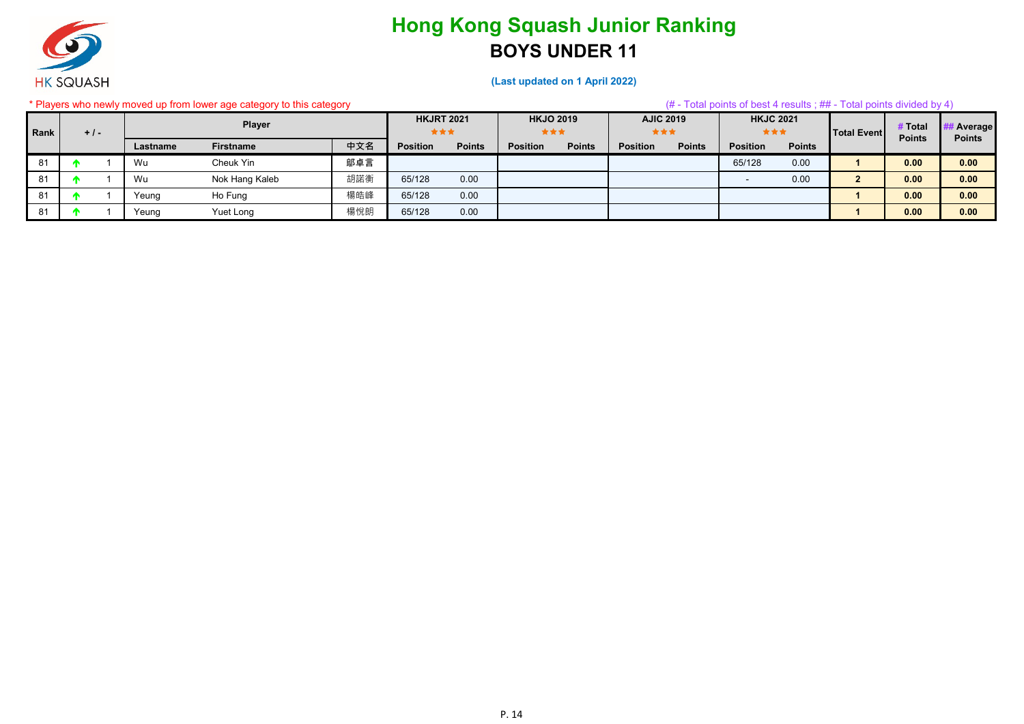

#### **(Last updated on 1 April 2022)**

#### \* Players who newly moved up from lower age category to this category (# - Total points of best 4 results ; ## - Total points divided by 4) **Lastname Firstname 中文名 Position Points Position Points Position Points Position Points HKJO 2019 AJIC 2019 Total Event** # Total ## Average **Points HKJRT 2021 HKJC 2021 # Total**  Rank +/- Player Player<br>Points<br>
Points 81 1 Wu Cheuk Yin 鄔卓言 65/128 0.00 **1 0.00 0.00** 81 1 Wu Nok Hang Kaleb 胡諾衡 65/128 0.00 - 0.00 **2 0.00 0.00** 81 1 Yeung Ho Fung 楊皓峰 65/128 0.00 **1 0.00 0.00** 81 1 Yeung Yuet Long 楊悅朗 65/128 0.00 **1 0.00 0.00**